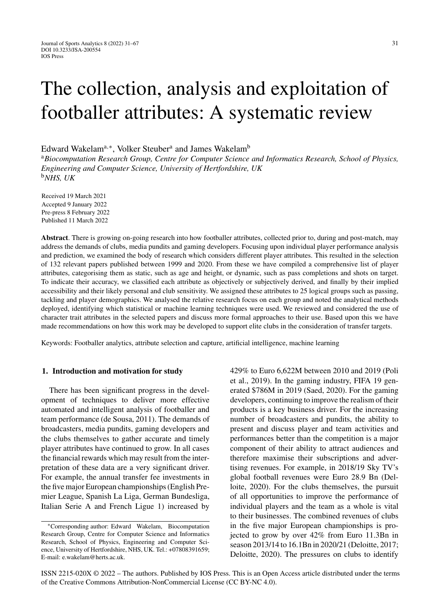# The collection, analysis and exploitation of footballer attributes: A systematic review

Edward Wakelam<sup>a,∗</sup>, Volker Steuber<sup>a</sup> and James Wakelam<sup>b</sup>

<sup>a</sup>*Biocomputation Research Group, Centre for Computer Science and Informatics Research, School of Physics, Engineering and Computer Science, University of Hertfordshire, UK* <sup>b</sup>*NHS, UK*

Received 19 March 2021 Accepted 9 January 2022 Pre-press 8 February 2022 Published 11 March 2022

**Abstract**. There is growing on-going research into how footballer attributes, collected prior to, during and post-match, may address the demands of clubs, media pundits and gaming developers. Focusing upon individual player performance analysis and prediction, we examined the body of research which considers different player attributes. This resulted in the selection of 132 relevant papers published between 1999 and 2020. From these we have compiled a comprehensive list of player attributes, categorising them as static, such as age and height, or dynamic, such as pass completions and shots on target. To indicate their accuracy, we classified each attribute as objectively or subjectively derived, and finally by their implied accessibility and their likely personal and club sensitivity. We assigned these attributes to 25 logical groups such as passing, tackling and player demographics. We analysed the relative research focus on each group and noted the analytical methods deployed, identifying which statistical or machine learning techniques were used. We reviewed and considered the use of character trait attributes in the selected papers and discuss more formal approaches to their use. Based upon this we have made recommendations on how this work may be developed to support elite clubs in the consideration of transfer targets.

Keywords: Footballer analytics, attribute selection and capture, artificial intelligence, machine learning

#### **1. Introduction and motivation for study**

There has been significant progress in the development of techniques to deliver more effective automated and intelligent analysis of footballer and team performance (de Sousa, 2011). The demands of broadcasters, media pundits, gaming developers and the clubs themselves to gather accurate and timely player attributes have continued to grow. In all cases the financial rewards which may result from the interpretation of these data are a very significant driver. For example, the annual transfer fee investments in the five major European championships (English Premier League, Spanish La Liga, German Bundesliga, Italian Serie A and French Ligue 1) increased by

429% to Euro 6,622M between 2010 and 2019 (Poli et al., 2019). In the gaming industry, FIFA 19 generated \$786M in 2019 (Saed, 2020). For the gaming developers, continuing to improve the realism of their products is a key business driver. For the increasing number of broadcasters and pundits, the ability to present and discuss player and team activities and performances better than the competition is a major component of their ability to attract audiences and therefore maximise their subscriptions and advertising revenues. For example, in 2018/19 Sky TV's global football revenues were Euro 28.9 Bn (Delloite, 2020). For the clubs themselves, the pursuit of all opportunities to improve the performance of individual players and the team as a whole is vital to their businesses. The combined revenues of clubs in the five major European championships is projected to grow by over 42% from Euro 11.3Bn in season 2013/14 to 16.1Bn in 2020/21 (Deloitte, 2017; Deloitte, 2020). The pressures on clubs to identify

ISSN 2215-020X © 2022 – The authors. Published by IOS Press. This is an Open Access article distributed under the terms of the [Creative Commons Attribution-NonCommercial License \(CC BY-NC 4.0\).](https://creativecommons.org/licenses/by-nc/4.0/)

<sup>∗</sup>Corresponding author: Edward Wakelam, Biocomputation Research Group, Centre for Computer Science and Informatics Research, School of Physics, Engineering and Computer Science, University of Hertfordshire, NHS, UK. Tel.: +07808391659; E-mail: [e.wakelam@herts.ac.uk.](mailto:e.wakelam@herts.ac.uk)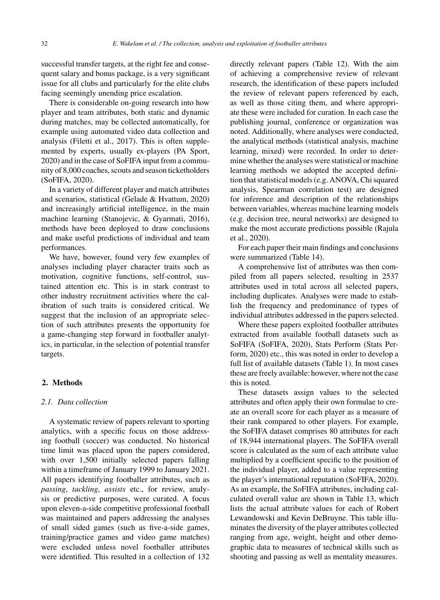successful transfer targets, at the right fee and consequent salary and bonus package, is a very significant issue for all clubs and particularly for the elite clubs facing seemingly unending price escalation.

There is considerable on-going research into how player and team attributes, both static and dynamic during matches, may be collected automatically, for example using automated video data collection and analysis (Filetti et al., 2017). This is often supplemented by experts, usually ex-players (PA Sport, 2020) and in the case of SoFIFA input from a community of 8,000 coaches, scouts and season ticketholders (SoFIFA, 2020).

In a variety of different player and match attributes and scenarios, statistical (Gelade & Hvattum, 2020) and increasingly artificial intelligence, in the main machine learning (Stanojevic, & Gyarmati, 2016), methods have been deployed to draw conclusions and make useful predictions of individual and team performances.

We have, however, found very few examples of analyses including player character traits such as motivation, cognitive functions, self-control, sustained attention etc. This is in stark contrast to other industry recruitment activities where the calibration of such traits is considered critical. We suggest that the inclusion of an appropriate selection of such attributes presents the opportunity for a game-changing step forward in footballer analytics, in particular, in the selection of potential transfer targets.

# **2. Methods**

#### *2.1. Data collection*

A systematic review of papers relevant to sporting analytics, with a specific focus on those addressing football (soccer) was conducted. No historical time limit was placed upon the papers considered, with over 1,500 initially selected papers falling within a timeframe of January 1999 to January 2021. All papers identifying footballer attributes, such as *passing*, *tackling*, *assists* etc., for review, analysis or predictive purposes, were curated. A focus upon eleven-a-side competitive professional football was maintained and papers addressing the analyses of small sided games (such as five-a-side games, training/practice games and video game matches) were excluded unless novel footballer attributes were identified. This resulted in a collection of 132 directly relevant papers (Table 12). With the aim of achieving a comprehensive review of relevant research, the identification of these papers included the review of relevant papers referenced by each, as well as those citing them, and where appropriate these were included for curation. In each case the publishing journal, conference or organization was noted. Additionally, where analyses were conducted, the analytical methods (statistical analysis, machine learning, mixed) were recorded. In order to determine whether the analyses were statistical or machine learning methods we adopted the accepted definition that statistical models (e.g. ANOVA, Chi squared analysis, Spearman correlation test) are designed for inference and description of the relationships between variables, whereas machine learning models (e.g. decision tree, neural networks) are designed to make the most accurate predictions possible (Rajula et al., 2020).

For each paper their main findings and conclusions were summarized (Table 14).

A comprehensive list of attributes was then compiled from all papers selected, resulting in 2537 attributes used in total across all selected papers, including duplicates. Analyses were made to establish the frequency and predominance of types of individual attributes addressed in the papers selected.

Where these papers exploited footballer attributes extracted from available football datasets such as SoFIFA (SoFIFA, 2020), Stats Perform (Stats Perform, 2020) etc., this was noted in order to develop a full list of available datasets (Table 1). In most cases these are freely available: however, where not the case this is noted.

These datasets assign values to the selected attributes and often apply their own formulae to create an overall score for each player as a measure of their rank compared to other players. For example, the SoFIFA dataset comprises 80 attributes for each of 18,944 international players. The SoFIFA overall score is calculated as the sum of each attribute value multiplied by a coefficient specific to the position of the individual player, added to a value representing the player's international reputation (SoFIFA, 2020). As an example, the SoFIFA attributes, including calculated overall value are shown in Table 13, which lists the actual attribute values for each of Robert Lewandowski and Kevin DeBruyne. This table illuminates the diversity of the player attributes collected ranging from age, weight, height and other demographic data to measures of technical skills such as shooting and passing as well as mentality measures.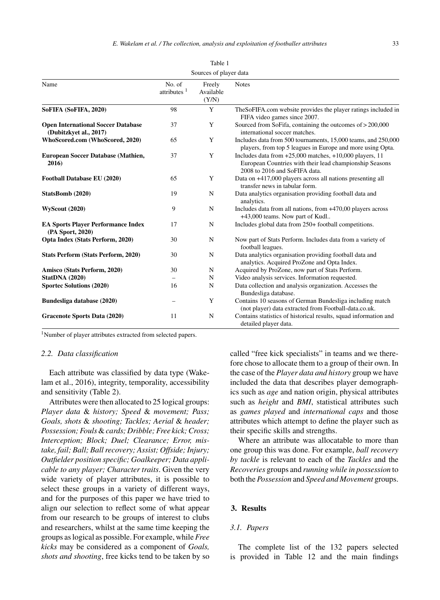| Sources of player data                                              |                          |                              |                                                                                                                                                         |  |  |
|---------------------------------------------------------------------|--------------------------|------------------------------|---------------------------------------------------------------------------------------------------------------------------------------------------------|--|--|
| Name                                                                | No. of<br>attributes $1$ | Freely<br>Available<br>(Y/N) | <b>Notes</b>                                                                                                                                            |  |  |
| SoFIFA (SoFIFA, 2020)                                               | 98                       | Y                            | The SoFIFA.com website provides the player ratings included in<br>FIFA video games since 2007.                                                          |  |  |
| <b>Open International Soccer Database</b><br>(Dubitzkyet al., 2017) | 37                       | Y                            | Sourced from SoFifa, containing the outcomes of > 200,000<br>international soccer matches.                                                              |  |  |
| WhoScored.com (WhoScored, 2020)                                     | 65                       | Y                            | Includes data from 500 tournaments, 15,000 teams, and 250,000<br>players, from top 5 leagues in Europe and more using Opta.                             |  |  |
| European Soccer Database (Mathien,<br>2016)                         | 37                       | Y                            | Includes data from $+25,000$ matches, $+10,000$ players, 11<br>European Countries with their lead championship Seasons<br>2008 to 2016 and SoFIFA data. |  |  |
| Football Database EU (2020)                                         | 65                       | Y                            | Data on +417,000 players across all nations presenting all<br>transfer news in tabular form.                                                            |  |  |
| StatsBomb (2020)                                                    | 19                       | N                            | Data analytics organisation providing football data and<br>analytics.                                                                                   |  |  |
| <b>WyScout (2020)</b>                                               | 9                        | N                            | Includes data from all nations, from +470,00 players across<br>+43,000 teams. Now part of Kudl                                                          |  |  |
| <b>EA Sports Player Performance Index</b><br>(PA Sport, 2020)       | 17                       | N                            | Includes global data from 250+ football competitions.                                                                                                   |  |  |
| Opta Index (Stats Perform, 2020)                                    | 30                       | N                            | Now part of Stats Perform. Includes data from a variety of<br>football leagues.                                                                         |  |  |
| <b>Stats Perform (Stats Perform, 2020)</b>                          | 30                       | N                            | Data analytics organisation providing football data and<br>analytics. Acquired ProZone and Opta Index.                                                  |  |  |
| Amisco (Stats Perform, 2020)                                        | 30                       | N                            | Acquired by ProZone, now part of Stats Perform.                                                                                                         |  |  |
| <b>StatDNA</b> (2020)                                               |                          | N                            | Video analysis services. Information requested.                                                                                                         |  |  |
| <b>Sportec Solutions (2020)</b>                                     | 16                       | N                            | Data collection and analysis organization. Accesses the<br>Bundesliga database.                                                                         |  |  |
| Bundesliga database (2020)                                          |                          | Y                            | Contains 10 seasons of German Bundesliga including match<br>(not player) data extracted from Football-data.co.uk.                                       |  |  |
| Gracenote Sports Data (2020)                                        | 11                       | N                            | Contains statistics of historical results, squad information and<br>detailed player data.                                                               |  |  |

Table 1

<sup>1</sup>Number of player attributes extracted from selected papers.

#### *2.2. Data classification*

Each attribute was classified by data type (Wakelam et al., 2016), integrity, temporality, accessibility and sensitivity (Table 2).

Attributes were then allocated to 25 logical groups: *Player data* & *history; Speed* & *movement; Pass; Goals, shots* & *shooting; Tackles; Aerial* & *header; Possession; Fouls*&*cards; Dribble; Free kick; Cross; Interception; Block; Duel; Clearance; Error, mistake, fail; Ball; Ball recovery; Assist; Offside; Injury; Outfielder position specific; Goalkeeper; Data applicable to any player; Character traits*. Given the very wide variety of player attributes, it is possible to select these groups in a variety of different ways, and for the purposes of this paper we have tried to align our selection to reflect some of what appear from our research to be groups of interest to clubs and researchers, whilst at the same time keeping the groups as logical as possible. For example, while *Free kicks* may be considered as a component of *Goals, shots and shooting*, free kicks tend to be taken by so

called "free kick specialists" in teams and we therefore chose to allocate them to a group of their own. In the case of the *Player data and history* group we have included the data that describes player demographics such as *age* and nation origin, physical attributes such as *height* and *BMI*, statistical attributes such as *games played* and *international caps* and those attributes which attempt to define the player such as their specific skills and strengths.

Where an attribute was allocatable to more than one group this was done. For example, *ball recovery by tackle* is relevant to each of the *Tackles* and the *Recoveries* groups and *running while in possession* to both the *Possession* and *Speed and Movement* groups.

# **3. Results**

#### *3.1. Papers*

The complete list of the 132 papers selected is provided in Table 12 and the main findings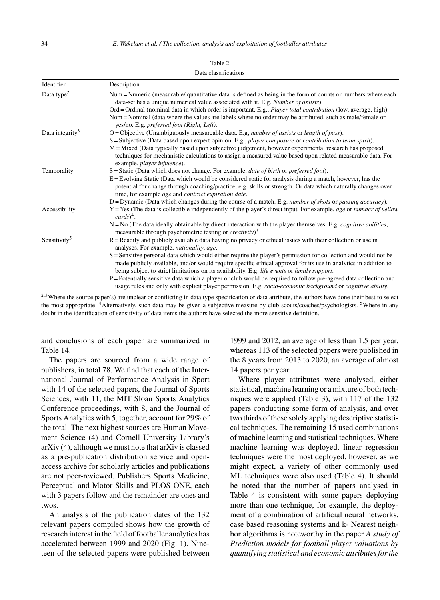| Identifier                  | Description                                                                                                                                                                                                                                                                                                                       |
|-----------------------------|-----------------------------------------------------------------------------------------------------------------------------------------------------------------------------------------------------------------------------------------------------------------------------------------------------------------------------------|
|                             |                                                                                                                                                                                                                                                                                                                                   |
| Data type <sup>2</sup>      | Num = Numeric (measurable/ quantitative data is defined as being in the form of counts or numbers where each<br>data-set has a unique numerical value associated with it. E.g. Number of assists).                                                                                                                                |
|                             | Ord = Ordinal (nominal data in which order is important. E.g., <i>Player total contribution</i> (low, average, high).                                                                                                                                                                                                             |
|                             | Nom = Nominal (data where the values are labels where no order may be attributed, such as male/female or                                                                                                                                                                                                                          |
|                             | yes/no. E.g. preferred foot (Right, Left).                                                                                                                                                                                                                                                                                        |
| Data integrity <sup>3</sup> | O = Objective (Unambiguously measureable data. E.g, number of assists or length of pass).                                                                                                                                                                                                                                         |
|                             | $S =$ Subjective (Data based upon expert opinion. E.g., <i>player composure</i> or <i>contribution to team spirit</i> ).                                                                                                                                                                                                          |
|                             | M = Mixed (Data typically based upon subjective judgement, however experimental research has proposed<br>techniques for mechanistic calculations to assign a measured value based upon related measurable data. For<br>example, player influence).                                                                                |
| Temporality                 | $S =$ Static (Data which does not change. For example, <i>date of birth</i> or <i>preferred foot</i> ).                                                                                                                                                                                                                           |
|                             | E = Evolving Static (Data which would be considered static for analysis during a match, however, has the<br>potential for change through coaching/practice, e.g. skills or strength. Or data which naturally changes over<br>time, for example <i>age</i> and <i>contract expiration date</i> .                                   |
|                             | $D = D$ ynamic (Data which changes during the course of a match. E.g. <i>number of shots</i> or <i>passing accuracy</i> ).                                                                                                                                                                                                        |
| Accessibility               | $Y = Yes$ (The data is collectible independently of the player's direct input. For example, age or number of yellow<br>$cards)^4$ .                                                                                                                                                                                               |
|                             | $N = No$ (The data ideally obtainable by direct interaction with the player themselves. E.g. <i>cognitive abilities</i> ,<br>measurable through psychometric testing or <i>creativity</i> $)^3$                                                                                                                                   |
| Sensitivity <sup>5</sup>    | $R =$ Readily and publicly available data having no privacy or ethical issues with their collection or use in<br>analyses. For example, <i>nationality</i> , <i>age</i> .                                                                                                                                                         |
|                             | S = Sensitive personal data which would either require the player's permission for collection and would not be<br>made publicly available, and/or would require specific ethical approval for its use in analytics in addition to<br>being subject to strict limitations on its availability. E.g. life events or family support. |
|                             | $P =$ Potentially sensitive data which a player or club would be required to follow pre-agreed data collection and<br>usage rules and only with explicit player permission. E.g. socio-economic background or cognitive ability.                                                                                                  |

Data classifications

<sup>2,3</sup>Where the source paper(s) are unclear or conflicting in data type specification or data attribute, the authors have done their best to select the most appropriate. <sup>4</sup>Alternatively, such data may be given a subjective measure by club scouts/coaches/psychologists. <sup>5</sup>Where in any doubt in the identification of sensitivity of data items the authors have selected the more sensitive definition.

and conclusions of each paper are summarized in Table 14.

The papers are sourced from a wide range of publishers, in total 78. We find that each of the International Journal of Performance Analysis in Sport with 14 of the selected papers, the Journal of Sports Sciences, with 11, the MIT Sloan Sports Analytics Conference proceedings, with 8, and the Journal of Sports Analytics with 5, together, account for 29% of the total. The next highest sources are Human Movement Science (4) and Cornell University Library's arXiv (4), although we must note that arXiv is classed as a pre-publication distribution service and openaccess archive for scholarly articles and publications are not peer-reviewed. Publishers Sports Medicine, Perceptual and Motor Skills and PLOS ONE, each with 3 papers follow and the remainder are ones and twos.

An analysis of the publication dates of the 132 relevant papers compiled shows how the growth of research interest in the field of footballer analytics has accelerated between 1999 and 2020 (Fig. 1). Nineteen of the selected papers were published between

1999 and 2012, an average of less than 1.5 per year, whereas 113 of the selected papers were published in the 8 years from 2013 to 2020, an average of almost 14 papers per year.

Where player attributes were analysed, either statistical, machine learning or a mixture of both techniques were applied (Table 3), with 117 of the 132 papers conducting some form of analysis, and over two thirds of these solely applying descriptive statistical techniques. The remaining 15 used combinations of machine learning and statistical techniques. Where machine learning was deployed, linear regression techniques were the most deployed, however, as we might expect, a variety of other commonly used ML techniques were also used (Table 4). It should be noted that the number of papers analysed in Table 4 is consistent with some papers deploying more than one technique, for example, the deployment of a combination of artificial neural networks, case based reasoning systems and k- Nearest neighbor algorithms is noteworthy in the paper *A study of Prediction models for football player valuations by quantifying statistical and economic attributes for the*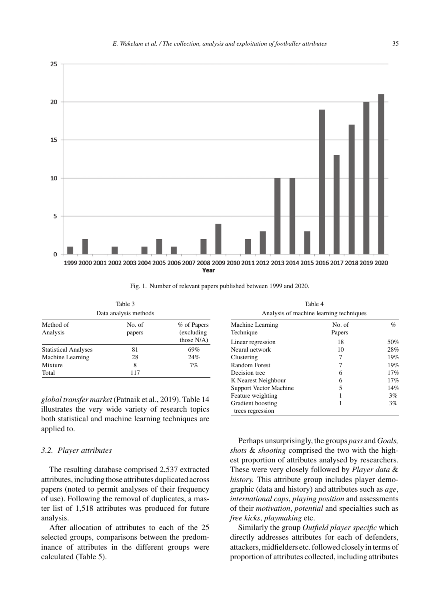

Fig. 1. Number of relevant papers published between 1999 and 2020.

|                             | Table 3               |                                             |
|-----------------------------|-----------------------|---------------------------------------------|
|                             | Data analysis methods |                                             |
| Method of<br>Analysis       | No. of<br>papers      | % of Papers<br>(excluding)<br>those $N/A$ ) |
| <b>Statistical Analyses</b> | 81                    | 69%                                         |
| Machine Learning            | 28                    | 24%                                         |
| Mixture                     | 8                     | 7%                                          |
| Total                       | 117                   |                                             |

*global transfer market* (Patnaik et al., 2019). Table 14 illustrates the very wide variety of research topics both statistical and machine learning techniques are applied to.

#### *3.2. Player attributes*

The resulting database comprised 2,537 extracted attributes, including those attributes duplicated across papers (noted to permit analyses of their frequency of use). Following the removal of duplicates, a master list of 1,518 attributes was produced for future analysis.

After allocation of attributes to each of the 25 selected groups, comparisons between the predominance of attributes in the different groups were calculated (Table 5).

Table 4 Analysis of machine learning techniques

| Machine Learning              | No. of | $\%$ |
|-------------------------------|--------|------|
| Technique                     | Papers |      |
| Linear regression             | 18     | 50%  |
| Neural network                | 10     | 28%  |
| Clustering                    | 7      | 19%  |
| <b>Random Forest</b>          | 7      | 19%  |
| Decision tree                 | 6      | 17%  |
| K Nearest Neighbour           | 6      | 17%  |
| <b>Support Vector Machine</b> | 5      | 14%  |
| Feature weighting             |        | 3%   |
| Gradient boosting             |        | 3%   |
| trees regression              |        |      |

Perhaps unsurprisingly, the groups *pass* and *Goals, shots* & *shooting* comprised the two with the highest proportion of attributes analysed by researchers. These were very closely followed by *Player data* & *history.* This attribute group includes player demographic (data and history) and attributes such as *age*, *international caps*, *playing position* and assessments of their *motivation*, *potential* and specialties such as *free kicks*, *playmaking* etc.

Similarly the group *Outfield player specific* which directly addresses attributes for each of defenders, attackers, midfielders etc. followed closely in terms of proportion of attributes collected, including attributes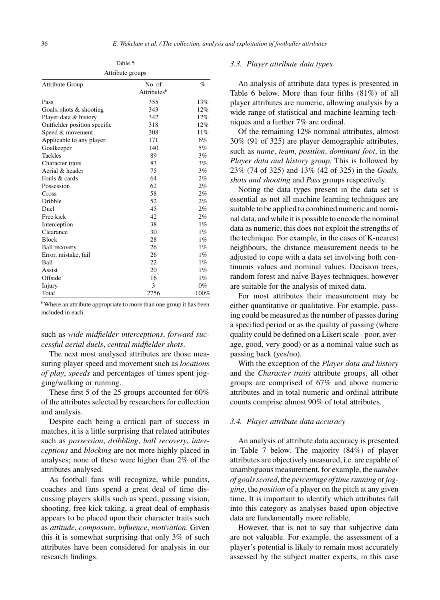Table 5 Attribute groups

| <b>Attribute Group</b>       | No. of                  | $\%$  |
|------------------------------|-------------------------|-------|
|                              | Attributes <sup>6</sup> |       |
| Pass                         | 355                     | 13%   |
| Goals, shots $&$ shooting    | 343                     | 12%   |
| Player data & history        | 342                     | 12%   |
| Outfielder position specific | 318                     | 12%   |
| Speed & movement             | 308                     | 11%   |
| Applicable to any player     | 171                     | 6%    |
| Goalkeeper                   | 140                     | 5%    |
| <b>Tackles</b>               | 89                      | 3%    |
| Character traits             | 83                      | 3%    |
| Aerial & header              | 75                      | 3%    |
| Fouls & cards                | 64                      | 2%    |
| Possession                   | 62                      | 2%    |
| Cross                        | 58                      | 2%    |
| Dribble                      | 52                      | 2%    |
| Duel                         | 45                      | 2%    |
| Free kick                    | 42                      | 2%    |
| Interception                 | 38                      | $1\%$ |
| Clearance                    | 30                      | $1\%$ |
| <b>Block</b>                 | 28                      | $1\%$ |
| <b>Ball recovery</b>         | 26                      | $1\%$ |
| Error, mistake, fail         | 26                      | $1\%$ |
| <b>Ball</b>                  | 22                      | $1\%$ |
| Assist                       | 20                      | $1\%$ |
| Offside                      | 16                      | $1\%$ |
| Injury                       | 3                       | $0\%$ |
| Total                        | 2756                    | 100%  |

6Where an attribute appropriate to more than one group it has been included in each.

# such as *wide midfielder interceptions*, *forward successful aerial duels*, *central midfielder shots*.

The next most analysed attributes are those measuring player speed and movement such as *locations of play*, *speeds* and percentages of times spent jogging/walking or running.

These first 5 of the 25 groups accounted for 60% of the attributes selected by researchers for collection and analysis.

Despite each being a critical part of success in matches, it is a little surprising that related attributes such as *possession*, *dribbling*, *ball recovery*, *interceptions* and *blocking* are not more highly placed in analyses; none of these were higher than 2% of the attributes analysed.

As football fans will recognize, while pundits, coaches and fans spend a great deal of time discussing players skills such as speed, passing vision, shooting, free kick taking, a great deal of emphasis appears to be placed upon their character traits such as *attitude*, *composure*, *influence*, *motivation*. Given this it is somewhat surprising that only 3% of such attributes have been considered for analysis in our research findings.

# *3.3. Player attribute data types*

An analysis of attribute data types is presented in Table 6 below. More than four fifths (81%) of all player attributes are numeric, allowing analysis by a wide range of statistical and machine learning techniques and a further 7% are ordinal.

Of the remaining 12% nominal attributes, almost 30% (91 of 325) are player demographic attributes, such as *name*, *team*, *position*, *dominant foot*, in the *Player data and history group*. This is followed by 23% (74 of 325) and 13% (42 of 325) in the *Goals, shots and shooting* and *Pass* groups respectively.

Noting the data types present in the data set is essential as not all machine learning techniques are suitable to be applied to combined numeric and nominal data, and while it is possible to encode the nominal data as numeric, this does not exploit the strengths of the technique. For example, in the cases of K-nearest neighbours, the distance measurement needs to be adjusted to cope with a data set involving both continuous values and nominal values. Decision trees, random forest and naïve Bayes techniques, however are suitable for the analysis of mixed data.

For most attributes their measurement may be either quantitative or qualitative. For example, passing could be measured as the number of passes during a specified period or as the quality of passing (where quality could be defined on a Likert scale - poor, average, good, very good) or as a nominal value such as passing back (yes/no).

With the exception of the *Player data and history* and the *Character traits* attribute groups, all other groups are comprised of 67% and above numeric attributes and in total numeric and ordinal attribute counts comprise almost 90% of total attributes.

#### *3.4. Player attribute data accuracy*

An analysis of attribute data accuracy is presented in Table 7 below. The majority (84%) of player attributes are objectively measured, i.e. are capable of unambiguous measurement, for example, the *number of goals scored*, the *percentage of time running* or*jogging*, the *position* of a player on the pitch at any given time. It is important to identify which attributes fall into this category as analyses based upon objective data are fundamentally more reliable.

However, that is not to say that subjective data are not valuable. For example, the assessment of a player's potential is likely to remain most accurately assessed by the subject matter experts, in this case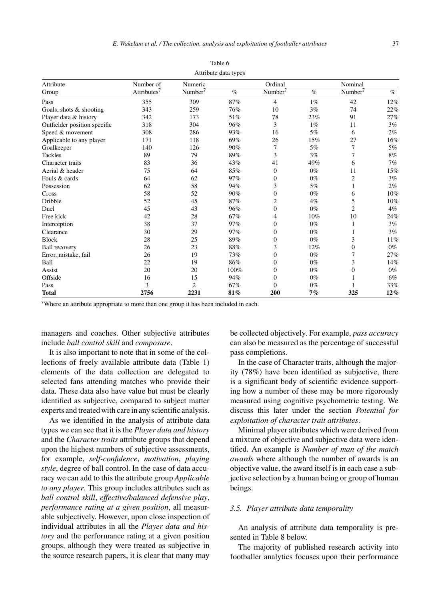| Attribute                    | Number of      | Numeric        | Attribute data types | Ordinal        |       | Nominal        |       |
|------------------------------|----------------|----------------|----------------------|----------------|-------|----------------|-------|
|                              | Attributes $7$ | Number'        | $\%$                 | Number'        | $\%$  | Number'        | $\%$  |
| Group                        |                |                |                      |                |       |                |       |
| Pass                         | 355            | 309            | 87%                  | $\overline{4}$ | $1\%$ | 42             | 12%   |
| Goals, shots & shooting      | 343            | 259            | 76%                  | 10             | 3%    | 74             | 22%   |
| Player data & history        | 342            | 173            | 51%                  | 78             | 23%   | 91             | 27%   |
| Outfielder position specific | 318            | 304            | 96%                  | 3              | $1\%$ | 11             | 3%    |
| Speed & movement             | 308            | 286            | 93%                  | 16             | 5%    | 6              | 2%    |
| Applicable to any player     | 171            | 118            | 69%                  | 26             | 15%   | 27             | 16%   |
| Goalkeeper                   | 140            | 126            | 90%                  | 7              | 5%    | 7              | 5%    |
| <b>Tackles</b>               | 89             | 79             | 89%                  | 3              | 3%    | 7              | 8%    |
| Character traits             | 83             | 36             | 43%                  | 41             | 49%   | 6              | 7%    |
| Aerial & header              | 75             | 64             | 85%                  | $\mathbf{0}$   | $0\%$ | 11             | 15%   |
| Fouls & cards                | 64             | 62             | 97%                  | $\Omega$       | $0\%$ | $\mathfrak{2}$ | 3%    |
| Possession                   | 62             | 58             | 94%                  | 3              | 5%    | 1              | 2%    |
| Cross                        | 58             | 52             | 90%                  | $\Omega$       | $0\%$ | 6              | 10%   |
| Dribble                      | 52             | 45             | 87%                  | $\overline{2}$ | $4\%$ | 5              | 10%   |
| Duel                         | 45             | 43             | 96%                  | $\mathbf{0}$   | $0\%$ | $\overline{2}$ | 4%    |
| Free kick                    | 42             | 28             | 67%                  | 4              | 10%   | 10             | 24%   |
| Interception                 | 38             | 37             | 97%                  | 0              | $0\%$ | 1              | 3%    |
| Clearance                    | 30             | 29             | 97%                  | $\Omega$       | $0\%$ | 1              | 3%    |
| <b>Block</b>                 | 28             | 25             | 89%                  | $\mathbf{0}$   | $0\%$ | 3              | 11%   |
| <b>Ball recovery</b>         | 26             | 23             | 88%                  | 3              | 12%   | $\mathbf{0}$   | $0\%$ |
| Error, mistake, fail         | 26             | 19             | 73%                  | $\mathbf{0}$   | $0\%$ | 7              | 27%   |
| Ball                         | 22             | 19             | 86%                  | $\mathbf{0}$   | $0\%$ | 3              | 14%   |
| Assist                       | 20             | 20             | 100%                 | $\mathbf{0}$   | $0\%$ | $\mathbf{0}$   | $0\%$ |
| Offside                      | 16             | 15             | 94%                  | $\Omega$       | $0\%$ |                | 6%    |
| Pass                         | 3              | $\overline{c}$ | 67%                  | $\Omega$       | $0\%$ |                | 33%   |
| <b>Total</b>                 | 2756           | 2231           | 81%                  | 200            | 7%    | 325            | 12%   |

|                       | Table 6 |  |
|-----------------------|---------|--|
| Attailante doto trace |         |  |

7Where an attribute appropriate to more than one group it has been included in each.

managers and coaches. Other subjective attributes include *ball control skill* and *composure*.

It is also important to note that in some of the collections of freely available attribute data (Table 1) elements of the data collection are delegated to selected fans attending matches who provide their data. These data also have value but must be clearly identified as subjective, compared to subject matter experts and treated with care in any scientific analysis.

As we identified in the analysis of attribute data types we can see that it is the *Player data and history* and the *Character traits* attribute groups that depend upon the highest numbers of subjective assessments, for example, *self-confidence*, *motivation*, *playing style*, degree of ball control. In the case of data accuracy we can add to this the attribute group *Applicable to any player*. This group includes attributes such as *ball control skill*, *effective/balanced defensive play*, *performance rating at a given position*, all measurable subjectively. However, upon close inspection of individual attributes in all the *Player data and history* and the performance rating at a given position groups, although they were treated as subjective in the source research papers, it is clear that many may

be collected objectively. For example, *pass accuracy* can also be measured as the percentage of successful pass completions.

In the case of Character traits, although the majority (78%) have been identified as subjective, there is a significant body of scientific evidence supporting how a number of these may be more rigorously measured using cognitive psychometric testing. We discuss this later under the section *Potential for exploitation of character trait attributes*.

Minimal player attributes which were derived from a mixture of objective and subjective data were identified. An example is *Number of man of the match awards* where although the number of awards is an objective value, the award itself is in each case a subjective selection by a human being or group of human beings.

#### *3.5. Player attribute data temporality*

An analysis of attribute data temporality is presented in Table 8 below.

The majority of published research activity into footballer analytics focuses upon their performance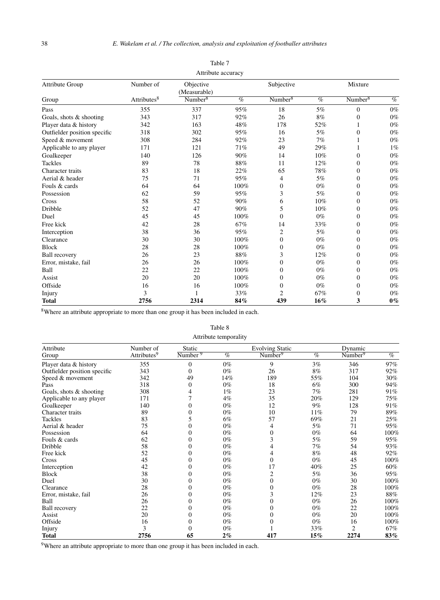| <b>Attribute Group</b>       | Number of               | Objective<br>(Measurable) |      | Subjective          |        | Mixture             |       |
|------------------------------|-------------------------|---------------------------|------|---------------------|--------|---------------------|-------|
| Group                        | Attributes <sup>8</sup> | Number <sup>8</sup>       | $\%$ | Number <sup>8</sup> | $\%$   | Number <sup>8</sup> | $\%$  |
| Pass                         | 355                     | 337                       | 95%  | 18                  | 5%     | $\theta$            | $0\%$ |
| Goals, shots & shooting      | 343                     | 317                       | 92%  | 26                  | 8%     | $\overline{0}$      | $0\%$ |
| Player data & history        | 342                     | 163                       | 48%  | 178                 | 52%    | $\mathbf{1}$        | $0\%$ |
| Outfielder position specific | 318                     | 302                       | 95%  | 16                  | 5%     | $\mathbf{0}$        | $0\%$ |
| Speed & movement             | 308                     | 284                       | 92%  | 23                  | 7%     | $\mathbf{1}$        | $0\%$ |
| Applicable to any player     | 171                     | 121                       | 71%  | 49                  | 29%    | 1                   | $1\%$ |
| Goalkeeper                   | 140                     | 126                       | 90%  | 14                  | 10%    | $\overline{0}$      | $0\%$ |
| <b>Tackles</b>               | 89                      | 78                        | 88%  | 11                  | 12%    | $\theta$            | $0\%$ |
| Character traits             | 83                      | 18                        | 22%  | 65                  | 78%    | $\mathbf{0}$        | $0\%$ |
| Aerial & header              | 75                      | 71                        | 95%  | $\overline{4}$      | 5%     | $\mathbf{0}$        | $0\%$ |
| Fouls & cards                | 64                      | 64                        | 100% | $\boldsymbol{0}$    | $0\%$  | $\mathbf{0}$        | $0\%$ |
| Possession                   | 62                      | 59                        | 95%  | 3                   | 5%     | $\theta$            | $0\%$ |
| Cross                        | 58                      | 52                        | 90%  | 6                   | 10%    | $\mathbf{0}$        | $0\%$ |
| Dribble                      | 52                      | 47                        | 90%  | 5                   | 10%    | $\mathbf{0}$        | $0\%$ |
| Duel                         | 45                      | 45                        | 100% | $\mathbf{0}$        | $0\%$  | $\mathbf{0}$        | $0\%$ |
| Free kick                    | 42                      | 28                        | 67%  | 14                  | 33%    | $\theta$            | $0\%$ |
| Interception                 | 38                      | 36                        | 95%  | $\overline{c}$      | 5%     | $\overline{0}$      | $0\%$ |
| Clearance                    | 30                      | 30                        | 100% | $\mathbf{0}$        | $0\%$  | $\mathbf{0}$        | $0\%$ |
| <b>Block</b>                 | 28                      | 28                        | 100% | $\mathbf{0}$        | $0\%$  | $\mathbf{0}$        | $0\%$ |
| <b>Ball recovery</b>         | 26                      | 23                        | 88%  | 3                   | 12%    | $\mathbf{0}$        | $0\%$ |
| Error, mistake, fail         | 26                      | 26                        | 100% | $\mathbf{0}$        | $0\%$  | $\theta$            | $0\%$ |
| Ball                         | 22                      | 22                        | 100% | $\mathbf{0}$        | $0\%$  | $\mathbf{0}$        | $0\%$ |
| Assist                       | 20                      | 20                        | 100% | $\mathbf{0}$        | $0\%$  | $\theta$            | $0\%$ |
| Offside                      | 16                      | 16                        | 100% | $\boldsymbol{0}$    | $0\%$  | $\overline{0}$      | $0\%$ |
| Injury                       | 3                       |                           | 33%  | $\overline{c}$      | 67%    | $\mathbf{0}$        | $0\%$ |
| <b>Total</b>                 | 2756                    | 2314                      | 84%  | 439                 | $16\%$ | 3                   | $0\%$ |

Table 7 Attribute accuracy

8Where an attribute appropriate to more than one group it has been included in each.

#### Table 8

Attribute temporality

| Attribute                    | Number of               | Static                        |       | <b>Evolving Static</b> |        | Dynamic             |      |
|------------------------------|-------------------------|-------------------------------|-------|------------------------|--------|---------------------|------|
| Group                        | Attributes <sup>9</sup> | $\overline{\text{Number }^9}$ | $\%$  | Number <sup>9</sup>    | $\%$   | Number <sup>9</sup> | $\%$ |
| Player data & history        | 355                     | 0                             | $0\%$ | 9                      | 3%     | 346                 | 97%  |
| Outfielder position specific | 343                     | $\theta$                      | $0\%$ | 26                     | 8%     | 317                 | 92%  |
| Speed & movement             | 342                     | 49                            | 14%   | 189                    | 55%    | 104                 | 30%  |
| Pass                         | 318                     | 0                             | $0\%$ | 18                     | 6%     | 300                 | 94%  |
| Goals, shots & shooting      | 308                     | 4                             | $1\%$ | 23                     | 7%     | 281                 | 91%  |
| Applicable to any player     | 171                     |                               | 4%    | 35                     | 20%    | 129                 | 75%  |
| Goalkeeper                   | 140                     | 0                             | $0\%$ | 12                     | 9%     | 128                 | 91%  |
| Character traits             | 89                      | $\theta$                      | $0\%$ | 10                     | 11%    | 79                  | 89%  |
| Tackles                      | 83                      | 5                             | 6%    | 57                     | 69%    | 21                  | 25%  |
| Aerial & header              | 75                      | 0                             | $0\%$ | 4                      | 5%     | 71                  | 95%  |
| Possession                   | 64                      | 0                             | $0\%$ | $\overline{0}$         | $0\%$  | 64                  | 100% |
| Fouls & cards                | 62                      | 0                             | $0\%$ | 3                      | 5%     | 59                  | 95%  |
| Dribble                      | 58                      | 0                             | $0\%$ | 4                      | 7%     | 54                  | 93%  |
| Free kick                    | 52                      | 0                             | $0\%$ | 4                      | 8%     | 48                  | 92%  |
| Cross                        | 45                      | 0                             | $0\%$ | $\overline{0}$         | $0\%$  | 45                  | 100% |
| Interception                 | 42                      | 0                             | $0\%$ | 17                     | 40%    | 25                  | 60%  |
| <b>Block</b>                 | 38                      | 0                             | $0\%$ | 2                      | 5%     | 36                  | 95%  |
| Duel                         | 30                      | 0                             | $0\%$ | $\overline{0}$         | $0\%$  | 30                  | 100% |
| Clearance                    | 28                      | 0                             | $0\%$ | $\mathbf{0}$           | $0\%$  | 28                  | 100% |
| Error, mistake, fail         | 26                      | 0                             | $0\%$ | 3                      | 12%    | 23                  | 88%  |
| Ball                         | 26                      | 0                             | $0\%$ | $\boldsymbol{0}$       | $0\%$  | 26                  | 100% |
| <b>Ball</b> recovery         | 22                      | 0                             | $0\%$ | 0                      | $0\%$  | 22                  | 100% |
| Assist                       | 20                      | $\theta$                      | $0\%$ | $\boldsymbol{0}$       | $0\%$  | 20                  | 100% |
| Offside                      | 16                      | 0                             | $0\%$ | $\overline{0}$         | $0\%$  | 16                  | 100% |
| Injury                       | 3                       | 0                             | $0\%$ |                        | 33%    | $\overline{c}$      | 67%  |
| <b>Total</b>                 | 2756                    | 65                            | $2\%$ | 417                    | $15\%$ | 2274                | 83%  |

<sup>9</sup>Where an attribute appropriate to more than one group it has been included in each.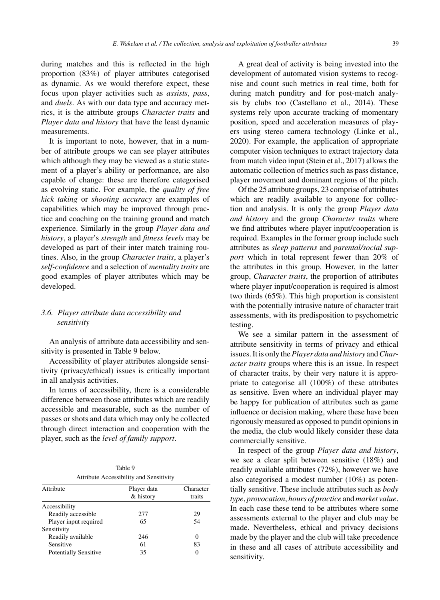during matches and this is reflected in the high proportion (83%) of player attributes categorised as dynamic. As we would therefore expect, these focus upon player activities such as *assists*, *pass*, and *duels*. As with our data type and accuracy metrics, it is the attribute groups *Character traits* and *Player data and history* that have the least dynamic measurements.

It is important to note, however, that in a number of attribute groups we can see player attributes which although they may be viewed as a static statement of a player's ability or performance, are also capable of change: these are therefore categorised as evolving static. For example, the *quality of free kick taking* or *shooting accuracy* are examples of capabilities which may be improved through practice and coaching on the training ground and match experience. Similarly in the group *Player data and history*, a player's *strength* and *fitness levels* may be developed as part of their inter match training routines. Also, in the group *Character traits*, a player's *self-confidence* and a selection of *mentality traits* are good examples of player attributes which may be developed.

# *3.6. Player attribute data accessibility and sensitivity*

An analysis of attribute data accessibility and sensitivity is presented in Table 9 below.

Accessibility of player attributes alongside sensitivity (privacy/ethical) issues is critically important in all analysis activities.

In terms of accessibility, there is a considerable difference between those attributes which are readily accessible and measurable, such as the number of passes or shots and data which may only be collected through direct interaction and cooperation with the player, such as the *level of family support*.

| Table 9                                 |
|-----------------------------------------|
| $A \leftrightarrow B \leftrightarrow C$ |

| Attribute                    | Character<br>traits |          |
|------------------------------|---------------------|----------|
| Accessibility                |                     |          |
| Readily accessible           | 277                 | 29       |
| Player input required        | 65                  | 54       |
| Sensitivity                  |                     |          |
| Readily available            | 246                 | $\Omega$ |
| Sensitive                    | 61                  | 83       |
| <b>Potentially Sensitive</b> | 35                  | 0        |

A great deal of activity is being invested into the development of automated vision systems to recognise and count such metrics in real time, both for during match punditry and for post-match analysis by clubs too (Castellano et al., 2014). These systems rely upon accurate tracking of momentary position, speed and acceleration measures of players using stereo camera technology (Linke et al., 2020). For example, the application of appropriate computer vision techniques to extract trajectory data from match video input (Stein et al., 2017) allows the automatic collection of metrics such as pass distance, player movement and dominant regions of the pitch.

Of the 25 attribute groups, 23 comprise of attributes which are readily available to anyone for collection and analysis. It is only the group *Player data and history* and the group *Character traits* where we find attributes where player input/cooperation is required. Examples in the former group include such attributes as *sleep patterns* and *parental/social support* which in total represent fewer than 20% of the attributes in this group. However, in the latter group, *Character traits*, the proportion of attributes where player input/cooperation is required is almost two thirds (65%). This high proportion is consistent with the potentially intrusive nature of character trait assessments, with its predisposition to psychometric testing.

We see a similar pattern in the assessment of attribute sensitivity in terms of privacy and ethical issues. It is only the*Player data and history* and*Character traits* groups where this is an issue. In respect of character traits, by their very nature it is appropriate to categorise all (100%) of these attributes as sensitive. Even where an individual player may be happy for publication of attributes such as game influence or decision making, where these have been rigorously measured as opposed to pundit opinions in the media, the club would likely consider these data commercially sensitive.

In respect of the group *Player data and history*, we see a clear split between sensitive (18%) and readily available attributes (72%), however we have also categorised a modest number (10%) as potentially sensitive. These include attributes such as *body type*, *provocation*, *hours of practice* and *market value*. In each case these tend to be attributes where some assessments external to the player and club may be made. Nevertheless, ethical and privacy decisions made by the player and the club will take precedence in these and all cases of attribute accessibility and sensitivity.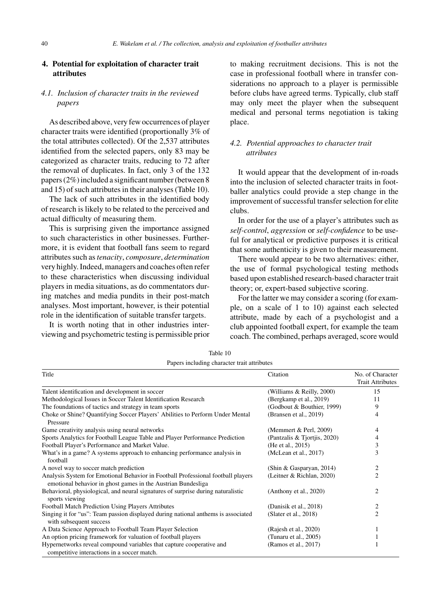# **4. Potential for exploitation of character trait attributes**

# *4.1. Inclusion of character traits in the reviewed papers*

As described above, very few occurrences of player character traits were identified (proportionally 3% of the total attributes collected). Of the 2,537 attributes identified from the selected papers, only 83 may be categorized as character traits, reducing to 72 after the removal of duplicates. In fact, only 3 of the 132 papers (2%) included a significant number (between 8 and 15) of such attributes in their analyses (Table 10).

The lack of such attributes in the identified body of research is likely to be related to the perceived and actual difficulty of measuring them.

This is surprising given the importance assigned to such characteristics in other businesses. Furthermore, it is evident that football fans seem to regard attributes such as*tenacity*, *composure*, *determination* very highly. Indeed, managers and coaches often refer to these characteristics when discussing individual players in media situations, as do commentators during matches and media pundits in their post-match analyses. Most important, however, is their potential role in the identification of suitable transfer targets.

It is worth noting that in other industries interviewing and psychometric testing is permissible prior to making recruitment decisions. This is not the case in professional football where in transfer considerations no approach to a player is permissible before clubs have agreed terms. Typically, club staff may only meet the player when the subsequent medical and personal terms negotiation is taking place.

# *4.2. Potential approaches to character trait attributes*

It would appear that the development of in-roads into the inclusion of selected character traits in footballer analytics could provide a step change in the improvement of successful transfer selection for elite clubs.

In order for the use of a player's attributes such as *self-control*, *aggression* or *self-confidence* to be useful for analytical or predictive purposes it is critical that some authenticity is given to their measurement.

There would appear to be two alternatives: either, the use of formal psychological testing methods based upon established research-based character trait theory; or, expert-based subjective scoring.

For the latter we may consider a scoring (for example, on a scale of 1 to 10) against each selected attribute, made by each of a psychologist and a club appointed football expert, for example the team coach. The combined, perhaps averaged, score would

| Papers including character trait attributes                                                                                                      |                              |                                             |  |
|--------------------------------------------------------------------------------------------------------------------------------------------------|------------------------------|---------------------------------------------|--|
| Title                                                                                                                                            | Citation                     | No. of Character<br><b>Trait Attributes</b> |  |
| Talent identification and development in soccer                                                                                                  | (Williams & Reilly, 2000)    | 15                                          |  |
| Methodological Issues in Soccer Talent Identification Research                                                                                   | (Bergkamp et al., 2019)      | 11                                          |  |
| The foundations of tactics and strategy in team sports                                                                                           | (Godbout & Bouthier, 1999)   | 9                                           |  |
| Choke or Shine? Quantifying Soccer Players' Abilities to Perform Under Mental<br>Pressure                                                        | (Bransen et al., 2019)       | 4                                           |  |
| Game creativity analysis using neural networks                                                                                                   | (Memmert & Perl, 2009)       | 4                                           |  |
| Sports Analytics for Football League Table and Player Performance Prediction                                                                     | (Pantzalis & Tjortjis, 2020) | 4                                           |  |
| Football Player's Performance and Market Value.                                                                                                  | (He et al., 2015)            | 3                                           |  |
| What's in a game? A systems approach to enhancing performance analysis in<br>football                                                            | (McLean et al., 2017)        | 3                                           |  |
| A novel way to soccer match prediction                                                                                                           | (Shin & Gasparyan, 2014)     | $\overline{c}$                              |  |
| Analysis System for Emotional Behavior in Football Professional football players<br>emotional behavior in ghost games in the Austrian Bundesliga | (Leitner & Richlan, 2020)    | $\overline{2}$                              |  |
| Behavioral, physiological, and neural signatures of surprise during naturalistic<br>sports viewing                                               | (Anthony et al., 2020)       | $\overline{c}$                              |  |
| <b>Football Match Prediction Using Players Attributes</b>                                                                                        | (Danisik et al., 2018)       | 2                                           |  |
| Singing it for "us": Team passion displayed during national anthems is associated<br>with subsequent success                                     | (Slater et al., $2018$ )     | $\overline{2}$                              |  |
| A Data Science Approach to Football Team Player Selection                                                                                        | (Rajesh et al., 2020)        | 1                                           |  |
| An option pricing framework for valuation of football players                                                                                    | (Tunaru et al., 2005)        |                                             |  |
| Hypernetworks reveal compound variables that capture cooperative and<br>competitive interactions in a soccer match.                              | (Ramos et al., 2017)         |                                             |  |

| Table 10                                                          |  |
|-------------------------------------------------------------------|--|
| The compact of the district of the company and an interesting and |  |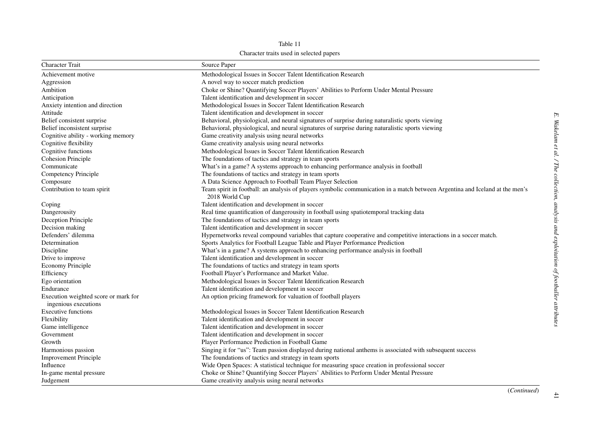Table 11 Character traits used in selected papers

| <b>Character Trait</b>               | Source Paper                                                                                                                 |
|--------------------------------------|------------------------------------------------------------------------------------------------------------------------------|
| Achievement motive                   | Methodological Issues in Soccer Talent Identification Research                                                               |
| Aggression                           | A novel way to soccer match prediction                                                                                       |
| Ambition                             | Choke or Shine? Quantifying Soccer Players' Abilities to Perform Under Mental Pressure                                       |
| Anticipation                         | Talent identification and development in soccer                                                                              |
| Anxiety intention and direction      | Methodological Issues in Soccer Talent Identification Research                                                               |
| Attitude                             | Talent identification and development in soccer                                                                              |
| Belief consistent surprise           | Behavioral, physiological, and neural signatures of surprise during naturalistic sports viewing                              |
| Belief inconsistent surprise         | Behavioral, physiological, and neural signatures of surprise during naturalistic sports viewing                              |
| Cognitive ability - working memory   | Game creativity analysis using neural networks                                                                               |
| Cognitive flexibility                | Game creativity analysis using neural networks                                                                               |
| Cognitive functions                  | Methodological Issues in Soccer Talent Identification Research                                                               |
| Cohesion Principle                   | The foundations of tactics and strategy in team sports                                                                       |
| Communicate                          | What's in a game? A systems approach to enhancing performance analysis in football                                           |
| Competency Principle                 | The foundations of tactics and strategy in team sports                                                                       |
| Composure                            | A Data Science Approach to Football Team Player Selection                                                                    |
| Contribution to team spirit          | Team spirit in football: an analysis of players symbolic communication in a match between Argentina and Iceland at the men's |
|                                      | 2018 World Cup                                                                                                               |
| Coping                               | Talent identification and development in soccer                                                                              |
| Dangerousity                         | Real time quantification of dangerousity in football using spatiotemporal tracking data                                      |
| Deception Principle                  | The foundations of tactics and strategy in team sports                                                                       |
| Decision making                      | Talent identification and development in soccer                                                                              |
| Defenders' dilemma                   | Hypernetworks reveal compound variables that capture cooperative and competitive interactions in a soccer match.             |
| Determination                        | Sports Analytics for Football League Table and Player Performance Prediction                                                 |
| Discipline                           | What's in a game? A systems approach to enhancing performance analysis in football                                           |
| Drive to improve                     | Talent identification and development in soccer                                                                              |
| Economy Principle                    | The foundations of tactics and strategy in team sports                                                                       |
| Efficiency                           | Football Player's Performance and Market Value.                                                                              |
| Ego orientation                      | Methodological Issues in Soccer Talent Identification Research                                                               |
| Endurance                            | Talent identification and development in soccer                                                                              |
| Execution weighted score or mark for | An option pricing framework for valuation of football players                                                                |
| ingenious executions                 |                                                                                                                              |
| <b>Executive functions</b>           | Methodological Issues in Soccer Talent Identification Research                                                               |
| Flexibility                          | Talent identification and development in soccer                                                                              |
| Game intelligence                    | Talent identification and development in soccer                                                                              |
| Government                           | Talent identification and development in soccer                                                                              |
| Growth                               | Player Performance Prediction in Football Game                                                                               |
| Harmonious passion                   | Singing it for "us": Team passion displayed during national anthems is associated with subsequent success                    |
| <b>Improvement Principle</b>         | The foundations of tactics and strategy in team sports                                                                       |
| Influence                            | Wide Open Spaces: A statistical technique for measuring space creation in professional soccer                                |
| In-game mental pressure              | Choke or Shine? Quantifying Soccer Players' Abilities to Perform Under Mental Pressure                                       |
| Judgement                            | Game creativity analysis using neural networks                                                                               |

41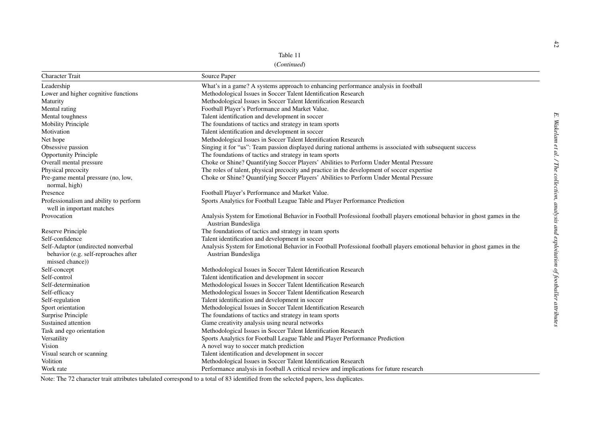(*Continued*)

|                                                                     | Table 11<br>(Continued)                                                                                                                          |
|---------------------------------------------------------------------|--------------------------------------------------------------------------------------------------------------------------------------------------|
| <b>Character Trait</b>                                              | Source Paper                                                                                                                                     |
| Leadership                                                          | What's in a game? A systems approach to enhancing performance analysis in football                                                               |
| Lower and higher cognitive functions                                | Methodological Issues in Soccer Talent Identification Research                                                                                   |
| Maturity                                                            | Methodological Issues in Soccer Talent Identification Research                                                                                   |
| Mental rating                                                       | Football Player's Performance and Market Value.                                                                                                  |
| Mental toughness                                                    | Talent identification and development in soccer                                                                                                  |
| <b>Mobility Principle</b>                                           | The foundations of tactics and strategy in team sports                                                                                           |
| Motivation                                                          | Talent identification and development in soccer                                                                                                  |
| Net hope                                                            | Methodological Issues in Soccer Talent Identification Research                                                                                   |
| Obsessive passion                                                   | Singing it for "us": Team passion displayed during national anthems is associated with subsequent success                                        |
| <b>Opportunity Principle</b>                                        | The foundations of tactics and strategy in team sports                                                                                           |
| Overall mental pressure                                             | Choke or Shine? Quantifying Soccer Players' Abilities to Perform Under Mental Pressure                                                           |
| Physical precocity                                                  | The roles of talent, physical precocity and practice in the development of soccer expertise                                                      |
| Pre-game mental pressure (no, low,<br>normal, high)                 | Choke or Shine? Quantifying Soccer Players' Abilities to Perform Under Mental Pressure                                                           |
| Presence                                                            | Football Player's Performance and Market Value.                                                                                                  |
| Professionalism and ability to perform<br>well in important matches | Sports Analytics for Football League Table and Player Performance Prediction                                                                     |
| Provocation                                                         | Analysis System for Emotional Behavior in Football Professional football players emotional behavior in ghost games in the<br>Austrian Bundesliga |
| Reserve Principle                                                   | The foundations of tactics and strategy in team sports                                                                                           |
| Self-confidence                                                     | Talent identification and development in soccer                                                                                                  |
| Self-Adaptor (undirected nonverbal                                  | Analysis System for Emotional Behavior in Football Professional football players emotional behavior in ghost games in the                        |
| behavior (e.g. self-reproaches after<br>missed chance))             | Austrian Bundesliga                                                                                                                              |
| Self-concept                                                        | Methodological Issues in Soccer Talent Identification Research                                                                                   |
| Self-control                                                        | Talent identification and development in soccer                                                                                                  |
| Self-determination                                                  | Methodological Issues in Soccer Talent Identification Research                                                                                   |
| Self-efficacy                                                       | Methodological Issues in Soccer Talent Identification Research                                                                                   |
| Self-regulation                                                     | Talent identification and development in soccer                                                                                                  |
| Sport orientation                                                   | Methodological Issues in Soccer Talent Identification Research                                                                                   |
| Surprise Principle                                                  | The foundations of tactics and strategy in team sports                                                                                           |
| Sustained attention                                                 | Game creativity analysis using neural networks                                                                                                   |
| Task and ego orientation                                            | Methodological Issues in Soccer Talent Identification Research                                                                                   |
| Versatility                                                         | Sports Analytics for Football League Table and Player Performance Prediction                                                                     |
| Vision                                                              | A novel way to soccer match prediction                                                                                                           |
| Visual search or scanning                                           | Talent identification and development in soccer                                                                                                  |
| Volition                                                            | Methodological Issues in Soccer Talent Identification Research                                                                                   |
| Work rate                                                           | Performance analysis in football A critical review and implications for future research                                                          |

Note: The 72 character trait attributes tabulated correspond to <sup>a</sup> total of 83 identified from the selected papers, less duplicates.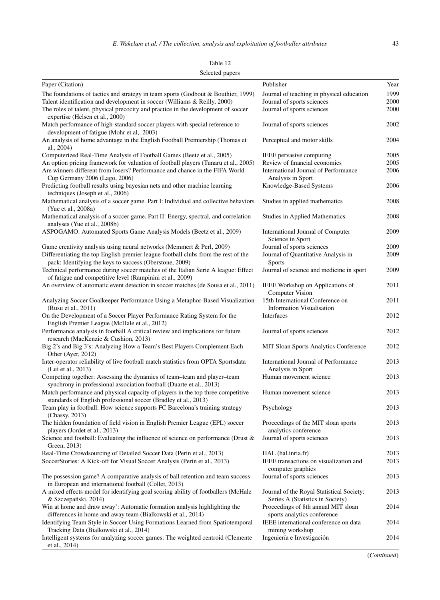| anie |  |
|------|--|
|------|--|

# Selected papers

| Paper (Citation)                                                                                                                                   | Publisher                                                                     | Year |
|----------------------------------------------------------------------------------------------------------------------------------------------------|-------------------------------------------------------------------------------|------|
| The foundations of tactics and strategy in team sports (Godbout & Bouthier, 1999)                                                                  | Journal of teaching in physical education                                     | 1999 |
| Talent identification and development in soccer (Williams & Reilly, 2000)                                                                          | Journal of sports sciences                                                    | 2000 |
| The roles of talent, physical precocity and practice in the development of soccer<br>expertise (Helsen et al., 2000)                               | Journal of sports sciences                                                    | 2000 |
| Match performance of high-standard soccer players with special reference to<br>development of fatigue (Mohr et al., 2003)                          | Journal of sports sciences                                                    | 2002 |
| An analysis of home advantage in the English Football Premiership (Thomas et<br>al., 2004)                                                         | Perceptual and motor skills                                                   | 2004 |
| Computerized Real-Time Analysis of Football Games (Beetz et al., 2005)                                                                             | IEEE pervasive computing                                                      | 2005 |
| An option pricing framework for valuation of football players (Tunaru et al., 2005)                                                                | Review of financial economics                                                 | 2005 |
| Are winners different from losers? Performance and chance in the FIFA World<br>Cup Germany 2006 (Lago, 2006)                                       | International Journal of Performance<br>Analysis in Sport                     | 2006 |
| Predicting football results using bayesian nets and other machine learning<br>techniques (Joseph et al., 2006)                                     | Knowledge-Based Systems                                                       | 2006 |
| Mathematical analysis of a soccer game. Part I: Individual and collective behaviors<br>(Yue et al., 2008a)                                         | Studies in applied mathematics                                                | 2008 |
| Mathematical analysis of a soccer game. Part II: Energy, spectral, and correlation<br>analyses (Yue et al., 2008b)                                 | Studies in Applied Mathematics                                                | 2008 |
| ASPOGAMO: Automated Sports Game Analysis Models (Beetz et al., 2009)                                                                               | International Journal of Computer<br>Science in Sport                         | 2009 |
| Game creativity analysis using neural networks (Memmert & Perl, 2009)                                                                              | Journal of sports sciences                                                    | 2009 |
| Differentiating the top English premier league football clubs from the rest of the<br>pack: Identifying the keys to success (Oberstone, 2009)      | Journal of Quantitative Analysis in<br><b>Sports</b>                          | 2009 |
| Technical performance during soccer matches of the Italian Serie A league: Effect<br>of fatigue and competitive level (Rampinini et al., 2009)     | Journal of science and medicine in sport                                      | 2009 |
| An overview of automatic event detection in soccer matches (de Sousa et al., 2011)                                                                 | IEEE Workshop on Applications of<br><b>Computer Vision</b>                    | 2011 |
| Analyzing Soccer Goalkeeper Performance Using a Metaphor-Based Visualization<br>(Rusu et al., 2011)                                                | 15th International Conference on<br><b>Information Visualisation</b>          | 2011 |
| On the Development of a Soccer Player Performance Rating System for the<br>English Premier League (McHale et al., 2012)                            | Interfaces                                                                    | 2012 |
| Performance analysis in football A critical review and implications for future<br>research (MacKenzie & Cushion, 2013)                             | Journal of sports sciences                                                    | 2012 |
| Big 2's and Big 3's: Analyzing How a Team's Best Players Complement Each<br>Other (Ayer, 2012)                                                     | MIT Sloan Sports Analytics Conference                                         | 2012 |
| Inter-operator reliability of live football match statistics from OPTA Sportsdata<br>(Lui et al., 2013)                                            | International Journal of Performance<br>Analysis in Sport                     | 2013 |
| Competing together: Assessing the dynamics of team-team and player-team<br>synchrony in professional association football (Duarte et al., 2013)    | Human movement science                                                        | 2013 |
| Match performance and physical capacity of players in the top three competitive<br>standards of English professional soccer (Bradley et al., 2013) | Human movement science                                                        | 2013 |
| Team play in football: How science supports FC Barcelona's training strategy<br>(Chassy, 2013)                                                     | Psychology                                                                    | 2013 |
| The hidden foundation of field vision in English Premier League (EPL) soccer<br>players (Jordet et al., 2013)                                      | Proceedings of the MIT sloan sports<br>analytics conference                   | 2013 |
| Science and football: Evaluating the influence of science on performance (Drust $\&$ Journal of sports sciences<br>Green, 2013)                    |                                                                               | 2013 |
| Real-Time Crowdsourcing of Detailed Soccer Data (Perin et al., 2013)                                                                               | HAL (hal.inria.fr)                                                            | 2013 |
| SoccerStories: A Kick-off for Visual Soccer Analysis (Perin et al., 2013)                                                                          | IEEE transactions on visualization and                                        | 2013 |
|                                                                                                                                                    | computer graphics                                                             |      |
| The possession game? A comparative analysis of ball retention and team success<br>in European and international football (Collet, 2013)            | Journal of sports sciences                                                    | 2013 |
| A mixed effects model for identifying goal scoring ability of footballers (McHale<br>& Szczepański, 2014)                                          | Journal of the Royal Statistical Society:<br>Series A (Statistics in Society) | 2013 |
| Win at home and draw away': Automatic formation analysis highlighting the<br>differences in home and away team (Bialkowski et al., 2014)           | Proceedings of 8th annual MIT sloan<br>sports analytics conference            | 2014 |
| Identifying Team Style in Soccer Using Formations Learned from Spatiotemporal<br>Tracking Data (Bialkowski et al., 2014)                           | IEEE international conference on data<br>mining workshop                      | 2014 |
| Intelligent systems for analyzing soccer games: The weighted centroid (Clemente<br>et al., 2014)                                                   | Ingeniería e Investigación                                                    | 2014 |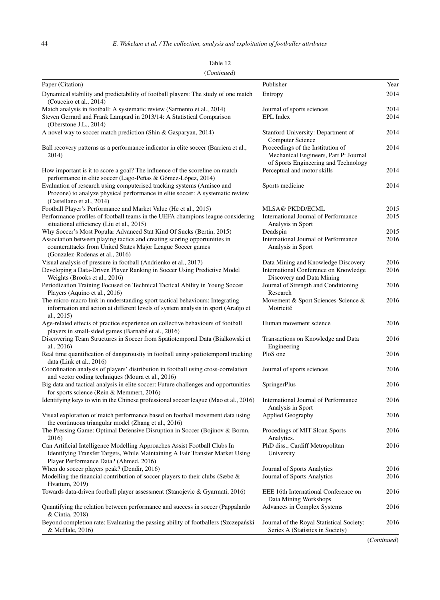| $($ Communica $)$<br>Paper (Citation)                                                                                                                                                               | Publisher                                                                                                          | Year         |
|-----------------------------------------------------------------------------------------------------------------------------------------------------------------------------------------------------|--------------------------------------------------------------------------------------------------------------------|--------------|
| Dynamical stability and predictability of football players: The study of one match                                                                                                                  | Entropy                                                                                                            | 2014         |
| (Couceiro et al., 2014)                                                                                                                                                                             |                                                                                                                    |              |
| Match analysis in football: A systematic review (Sarmento et al., 2014)                                                                                                                             | Journal of sports sciences<br><b>EPL</b> Index                                                                     | 2014         |
| Steven Gerrard and Frank Lampard in 2013/14: A Statistical Comparison<br>(Oberstone J.L., $2014$ )                                                                                                  |                                                                                                                    | 2014         |
| A novel way to soccer match prediction (Shin & Gasparyan, 2014)                                                                                                                                     | Stanford University: Department of<br><b>Computer Science</b>                                                      | 2014         |
| Ball recovery patterns as a performance indicator in elite soccer (Barriera et al.,<br>2014)                                                                                                        | Proceedings of the Institution of<br>Mechanical Engineers, Part P: Journal<br>of Sports Engineering and Technology | 2014         |
| How important is it to score a goal? The influence of the scoreline on match<br>performance in elite soccer (Lago-Peñas & Gómez-López, 2014)                                                        | Perceptual and motor skills                                                                                        | 2014         |
| Evaluation of research using computerised tracking systems (Amisco and<br>Prozone) to analyze physical performance in elite soccer: A systematic review<br>(Castellano et al., 2014)                | Sports medicine                                                                                                    | 2014         |
| Football Player's Performance and Market Value (He et al., 2015)                                                                                                                                    | <b>MLSA@ PKDD/ECML</b>                                                                                             | 2015         |
| Performance profiles of football teams in the UEFA champions league considering<br>situational efficiency (Liu et al., 2015)                                                                        | International Journal of Performance<br>Analysis in Sport                                                          | 2015         |
| Why Soccer's Most Popular Advanced Stat Kind Of Sucks (Bertin, 2015)                                                                                                                                | Deadspin                                                                                                           | 2015         |
| Association between playing tactics and creating scoring opportunities in<br>counterattacks from United States Major League Soccer games<br>(Gonzalez-Rodenas et al., 2016)                         | International Journal of Performance<br>Analysis in Sport                                                          | 2016         |
| Visual analysis of pressure in football (Andrienko et al., 2017)                                                                                                                                    | Data Mining and Knowledge Discovery                                                                                | 2016         |
| Developing a Data-Driven Player Ranking in Soccer Using Predictive Model<br>Weights (Brooks et al., 2016)                                                                                           | International Conference on Knowledge<br>Discovery and Data Mining                                                 | 2016         |
| Periodization Training Focused on Technical Tactical Ability in Young Soccer<br>Players (Aquino et al., 2016)                                                                                       | Journal of Strength and Conditioning<br>Research                                                                   | 2016         |
| The micro-macro link in understanding sport tactical behaviours: Integrating<br>information and action at different levels of system analysis in sport (Araújo et<br>al., $2015$ )                  | Movement & Sport Sciences-Science &<br>Motricité                                                                   | 2016         |
| Age-related effects of practice experience on collective behaviours of football<br>players in small-sided games (Barnabé et al., 2016)                                                              | Human movement science                                                                                             | 2016         |
| Discovering Team Structures in Soccer from Spatiotemporal Data (Bialkowski et<br>al., 2016)                                                                                                         | Transactions on Knowledge and Data<br>Engineering                                                                  | 2016         |
| Real time quantification of dangerousity in football using spatiotemporal tracking<br>data (Link et al., $2016$ )                                                                                   | PloS one                                                                                                           | 2016         |
| Coordination analysis of players' distribution in football using cross-correlation<br>and vector coding techniques (Moura et al., 2016)                                                             | Journal of sports sciences                                                                                         | 2016         |
| Big data and tactical analysis in elite soccer: Future challenges and opportunities<br>for sports science (Rein & Memmert, 2016)                                                                    | <b>SpringerPlus</b>                                                                                                | 2016         |
| Identifying keys to win in the Chinese professional soccer league (Mao et al., 2016)                                                                                                                | International Journal of Performance<br>Analysis in Sport                                                          | 2016         |
| Visual exploration of match performance based on football movement data using<br>the continuous triangular model (Zhang et al., 2016)                                                               | Applied Geography                                                                                                  | 2016         |
| The Pressing Game: Optimal Defensive Disruption in Soccer (Bojinov & Bornn,<br>2016)                                                                                                                | Procedings of MIT Sloan Sports<br>Analytics.                                                                       | 2016         |
| Can Artificial Intelligence Modelling Approaches Assist Football Clubs In<br>Identifying Transfer Targets, While Maintaining A Fair Transfer Market Using<br>Player Performance Data? (Ahmed, 2016) | PhD diss., Cardiff Metropolitan<br>University                                                                      | 2016         |
| When do soccer players peak? (Dendir, 2016)<br>Modelling the financial contribution of soccer players to their clubs (Sæbø &                                                                        | Journal of Sports Analytics<br>Journal of Sports Analytics                                                         | 2016<br>2016 |
| Hvattum, 2019)<br>Towards data-driven football player assessment (Stanojevic & Gyarmati, 2016)                                                                                                      | EEE 16th International Conference on<br>Data Mining Workshops                                                      | 2016         |
| Quantifying the relation between performance and success in soccer (Pappalardo<br>& Cintia, 2018)                                                                                                   | Advances in Complex Systems                                                                                        | 2016         |
| Beyond completion rate: Evaluating the passing ability of footballers (Szczepański<br>& McHale, 2016)                                                                                               | Journal of the Royal Statistical Society:<br>Series A (Statistics in Society)                                      | 2016         |

Table 12 (*Continued*)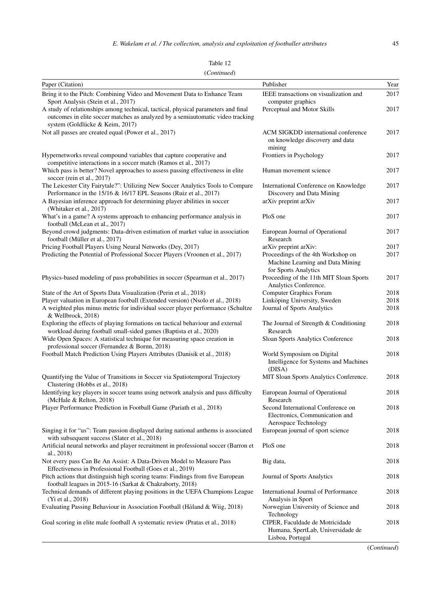| Fable |  |
|-------|--|
|       |  |

| Paper (Citation)                                                                                                                                                                                       | Publisher                                                                                                               | Year         |
|--------------------------------------------------------------------------------------------------------------------------------------------------------------------------------------------------------|-------------------------------------------------------------------------------------------------------------------------|--------------|
| Bring it to the Pitch: Combining Video and Movement Data to Enhance Team                                                                                                                               | IEEE transactions on visualization and                                                                                  | 2017         |
| Sport Analysis (Stein et al., 2017)                                                                                                                                                                    | computer graphics                                                                                                       |              |
| A study of relationships among technical, tactical, physical parameters and final<br>outcomes in elite soccer matches as analyzed by a semiautomatic video tracking<br>system (Goldlücke & Keim, 2017) | Perceptual and Motor Skills                                                                                             | 2017         |
| Not all passes are created equal (Power et al., 2017)                                                                                                                                                  | ACM SIGKDD international conference<br>on knowledge discovery and data<br>mining                                        | 2017         |
| Hypernetworks reveal compound variables that capture cooperative and<br>competitive interactions in a soccer match (Ramos et al., 2017)                                                                | Frontiers in Psychology                                                                                                 | 2017         |
| Which pass is better? Novel approaches to assess passing effectiveness in elite<br>soccer (rein et al., 2017)                                                                                          | Human movement science                                                                                                  | 2017         |
| The Leicester City Fairytale?": Utilizing New Soccer Analytics Tools to Compare<br>Performance in the 15/16 & 16/17 EPL Seasons (Ruiz et al., 2017)                                                    | International Conference on Knowledge<br>Discovery and Data Mining                                                      | 2017         |
| A Bayesian inference approach for determining player abilities in soccer<br>(Whitaker et al., 2017)                                                                                                    | arXiv preprint arXiv                                                                                                    | 2017         |
| What's in a game? A systems approach to enhancing performance analysis in<br>football (McLean et al., 2017)                                                                                            | PloS one                                                                                                                | 2017         |
| Beyond crowd judgments: Data-driven estimation of market value in association<br>football (Müller et al., 2017)                                                                                        | European Journal of Operational<br>Research                                                                             | 2017         |
| Pricing Football Players Using Neural Networks (Dey, 2017)<br>Predicting the Potential of Professional Soccer Players (Vroonen et al., 2017)                                                           | arXiv preprint arXiv:<br>Proceedings of the 4th Workshop on<br>Machine Learning and Data Mining<br>for Sports Analytics | 2017<br>2017 |
| Physics-based modeling of pass probabilities in soccer (Spearman et al., 2017)                                                                                                                         | Proceeding of the 11th MIT Sloan Sports<br>Analytics Conference.                                                        | 2017         |
| State of the Art of Sports Data Visualization (Perin et al., 2018)                                                                                                                                     | Computer Graphics Forum                                                                                                 | 2018         |
| Player valuation in European football (Extended version) (Nsolo et al., 2018)<br>A weighted plus minus metric for individual soccer player performance (Schultze<br>& Wellbrock, 2018)                 | Linköping University, Sweden<br>Journal of Sports Analytics                                                             | 2018<br>2018 |
| Exploring the effects of playing formations on tactical behaviour and external<br>workload during football small-sided games (Baptista et al., 2020)                                                   | The Journal of Strength & Conditioning<br>Research                                                                      | 2018         |
| Wide Open Spaces: A statistical technique for measuring space creation in<br>professional soccer (Fernandez & Bornn, 2018)                                                                             | Sloan Sports Analytics Conference                                                                                       | 2018         |
| Football Match Prediction Using Players Attributes (Danisik et al., 2018)                                                                                                                              | World Symposium on Digital<br>Intelligence for Systems and Machines<br>(DISA)                                           | 2018         |
| Quantifying the Value of Transitions in Soccer via Spatiotemporal Trajectory<br>Clustering (Hobbs et al., 2018)                                                                                        | MIT Sloan Sports Analytics Conference.                                                                                  | 2018         |
| Identifying key players in soccer teams using network analysis and pass difficulty<br>(McHale & Relton, 2018)                                                                                          | European Journal of Operational<br>Research                                                                             | 2018         |
| Player Performance Prediction in Football Game (Pariath et al., 2018)                                                                                                                                  | Second International Conference on<br>Electronics, Communication and<br>Aerospace Technology                            | 2018         |
| Singing it for "us": Team passion displayed during national anthems is associated<br>with subsequent success (Slater et al., 2018)                                                                     | European journal of sport science                                                                                       | 2018         |
| Artificial neural networks and player recruitment in professional soccer (Barron et<br>al., 2018)                                                                                                      | PloS one                                                                                                                | 2018         |
| Not every pass Can Be An Assist: A Data-Driven Model to Measure Pass<br>Effectiveness in Professional Football (Goes et al., 2019)                                                                     | Big data,                                                                                                               | 2018         |
| Pitch actions that distinguish high scoring teams: Findings from five European<br>football leagues in 2015-16 (Sarkat & Chakraborty, 2018)                                                             | Journal of Sports Analytics                                                                                             | 2018         |
| Technical demands of different playing positions in the UEFA Champions League<br>(Yi et al., 2018)                                                                                                     | International Journal of Performance<br>Analysis in Sport                                                               | 2018         |
| Evaluating Passing Behaviour in Association Football (Håland & Wiig, 2018)                                                                                                                             | Norwegian University of Science and<br>Technology                                                                       | 2018         |
| Goal scoring in elite male football A systematic review (Pratas et al., 2018)                                                                                                                          | CIPER, Faculdade de Motricidade<br>Humana, SpertLab, Universidade de<br>Lisboa, Portugal                                | 2018         |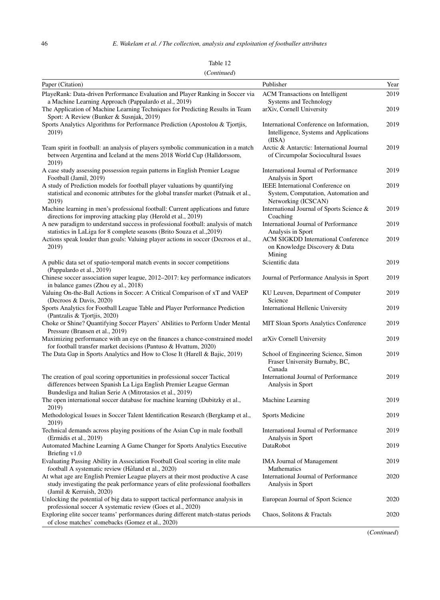| Paper (Citation)                                                                                                                                                                                             | Publisher                                                                                      | Year |
|--------------------------------------------------------------------------------------------------------------------------------------------------------------------------------------------------------------|------------------------------------------------------------------------------------------------|------|
| PlayeRank: Data-driven Performance Evaluation and Player Ranking in Soccer via                                                                                                                               | ACM Transactions on Intelligent                                                                | 2019 |
| a Machine Learning Approach (Pappalardo et al., 2019)                                                                                                                                                        | Systems and Technology                                                                         |      |
| The Application of Machine Learning Techniques for Predicting Results in Team<br>Sport: A Review (Bunker & Susnjak, 2019)                                                                                    | arXiv, Cornell University                                                                      | 2019 |
| Sports Analytics Algorithms for Performance Prediction (Apostolou & Tjortjis,<br>2019)                                                                                                                       | International Conference on Information,<br>Intelligence, Systems and Applications             | 2019 |
|                                                                                                                                                                                                              | (IISA)                                                                                         |      |
| Team spirit in football: an analysis of players symbolic communication in a match<br>between Argentina and Iceland at the mens 2018 World Cup (Halldorssom,<br>2019)                                         | Arctic & Antarctic: International Journal<br>of Circumpolar Sociocultural Issues               | 2019 |
| A case study assessing possession regain patterns in English Premier League<br>Football (Jamil, 2019)                                                                                                        | International Journal of Performance<br>Analysis in Sport                                      | 2019 |
| A study of Prediction models for football player valuations by quantifying<br>statistical and economic attributes for the global transfer market (Patnaik et al.,<br>2019)                                   | IEEE International Conference on<br>System, Computation, Automation and<br>Networking (ICSCAN) | 2019 |
| Machine learning in men's professional football: Current applications and future<br>directions for improving attacking play (Herold et al., 2019)                                                            | International Journal of Sports Science &<br>Coaching                                          | 2019 |
| A new paradigm to understand success in professional football: analysis of match<br>statistics in LaLiga for 8 complete seasons (Brito Souza et al., 2019)                                                   | International Journal of Performance<br>Analysis in Sport                                      | 2019 |
| Actions speak louder than goals: Valuing player actions in soccer (Decroos et al.,<br>2019)                                                                                                                  | <b>ACM SIGKDD International Conference</b><br>on Knowledge Discovery & Data<br>Mining          | 2019 |
| A public data set of spatio-temporal match events in soccer competitions<br>(Pappalardo et al., 2019)                                                                                                        | Scientific data                                                                                | 2019 |
| Chinese soccer association super league, 2012–2017: key performance indicators<br>in balance games (Zhou ey al., 2018)                                                                                       | Journal of Performance Analysis in Sport                                                       | 2019 |
| Valuing On-the-Ball Actions in Soccer: A Critical Comparison of xT and VAEP<br>(Decroos & Davis, 2020)                                                                                                       | KU Leuven, Department of Computer<br>Science                                                   | 2019 |
| Sports Analytics for Football League Table and Player Performance Prediction<br>(Pantzalis & Tjortjis, 2020)                                                                                                 | International Hellenic University                                                              | 2019 |
| Choke or Shine? Quantifying Soccer Players' Abilities to Perform Under Mental<br>Pressure (Bransen et al., 2019)                                                                                             | <b>MIT Sloan Sports Analytics Conference</b>                                                   | 2019 |
| Maximizing performance with an eye on the finances a chance-constrained model<br>for football transfer market decisions (Pantuso & Hvattum, 2020)                                                            | arXiv Cornell University                                                                       | 2019 |
| The Data Gap in Sports Analytics and How to Close It (Harell & Bajic, 2019)                                                                                                                                  | School of Engineering Science, Simon<br>Fraser University Burnaby, BC,<br>Canada               | 2019 |
| The creation of goal scoring opportunities in professional soccer Tactical<br>differences between Spanish La Liga English Premier League German<br>Bundesliga and Italian Serie A (Mitrotasios et al., 2019) | International Journal of Performance<br>Analysis in Sport                                      | 2019 |
| The open international soccer database for machine learning (Dubitzky et al.,<br>2019)                                                                                                                       | Machine Learning                                                                               | 2019 |
| Methodological Issues in Soccer Talent Identification Research (Bergkamp et al.,<br>2019)                                                                                                                    | Sports Medicine                                                                                | 2019 |
| Technical demands across playing positions of the Asian Cup in male football<br>(Ermidis et al., 2019)                                                                                                       | International Journal of Performance<br>Analysis in Sport                                      | 2019 |
| Automated Machine Learning A Game Changer for Sports Analytics Executive<br>Briefing v1.0                                                                                                                    | DataRobot                                                                                      | 2019 |
| Evaluating Passing Ability in Association Football Goal scoring in elite male<br>football A systematic review (Håland et al., 2020)                                                                          | <b>IMA Journal of Management</b><br>Mathematics                                                | 2019 |
| At what age are English Premier League players at their most productive A case<br>study investigating the peak performance years of elite professional footballers<br>(Jamil & Kerruish, 2020)               | International Journal of Performance<br>Analysis in Sport                                      | 2020 |
| Unlocking the potential of big data to support tactical performance analysis in<br>professional soccer A systematic review (Goes et al., 2020)                                                               | European Journal of Sport Science                                                              | 2020 |
| Exploring elite soccer teams' performances during different match-status periods<br>of close matches' comebacks (Gomez et al., 2020)                                                                         | Chaos, Solitons & Fractals                                                                     | 2020 |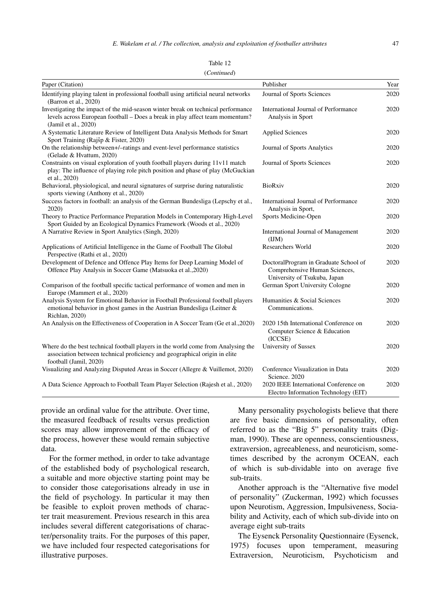| Table 12    |  |
|-------------|--|
| (Continued) |  |

| Paper (Citation)                                                                                                                                                                          | Publisher                                                                                              | Year |
|-------------------------------------------------------------------------------------------------------------------------------------------------------------------------------------------|--------------------------------------------------------------------------------------------------------|------|
| Identifying playing talent in professional football using artificial neural networks<br>(Barron et al., 2020)                                                                             | Journal of Sports Sciences                                                                             | 2020 |
| Investigating the impact of the mid-season winter break on technical performance<br>levels across European football – Does a break in play affect team momentum?<br>(Jamil et al., 2020)  | International Journal of Performance<br>Analysis in Sport                                              | 2020 |
| A Systematic Literature Review of Intelligent Data Analysis Methods for Smart<br>Sport Training (Rajšp & Fister, 2020)                                                                    | <b>Applied Sciences</b>                                                                                | 2020 |
| On the relationship between+/-ratings and event-level performance statistics<br>(Gelade & Hvattum, 2020)                                                                                  | Journal of Sports Analytics                                                                            | 2020 |
| Constraints on visual exploration of youth football players during 11v11 match<br>play: The influence of playing role pitch position and phase of play (McGuckian<br>et al., 2020)        | Journal of Sports Sciences                                                                             | 2020 |
| Behavioral, physiological, and neural signatures of surprise during naturalistic<br>sports viewing (Anthony et al., 2020)                                                                 | <b>BioRxiv</b>                                                                                         | 2020 |
| Success factors in football: an analysis of the German Bundesliga (Lepschy et al.,<br>2020)                                                                                               | International Journal of Performance<br>Analysis in Sport,                                             | 2020 |
| Theory to Practice Performance Preparation Models in Contemporary High-Level<br>Sport Guided by an Ecological Dynamics Framework (Woods et al., 2020)                                     | Sports Medicine-Open                                                                                   | 2020 |
| A Narrative Review in Sport Analytics (Singh, 2020)                                                                                                                                       | International Journal of Management<br>(IM)                                                            | 2020 |
| Applications of Artificial Intelligence in the Game of Football The Global<br>Perspective (Rathi et al., 2020)                                                                            | <b>Researchers World</b>                                                                               | 2020 |
| Development of Defence and Offence Play Items for Deep Learning Model of<br>Offence Play Analysis in Soccer Game (Matsuoka et al., 2020)                                                  | DoctoralProgram in Graduate School of<br>Comprehensive Human Sciences,<br>University of Tsukuba, Japan | 2020 |
| Comparison of the football specific tactical performance of women and men in<br>Europe (Mammert et al., 2020)                                                                             | German Sport University Cologne                                                                        | 2020 |
| Analysis System for Emotional Behavior in Football Professional football players<br>emotional behavior in ghost games in the Austrian Bundesliga (Leitner $\&$<br>Richlan, 2020)          | Humanities & Social Sciences<br>Communications.                                                        | 2020 |
| An Analysis on the Effectiveness of Cooperation in A Soccer Team (Ge et al., 2020)                                                                                                        | 2020 15th International Conference on<br>Computer Science & Education<br>(ICCSE)                       | 2020 |
| Where do the best technical football players in the world come from Analysing the<br>association between technical proficiency and geographical origin in elite<br>football (Jamil, 2020) | University of Sussex                                                                                   | 2020 |
| Visualizing and Analyzing Disputed Areas in Soccer (Allegre & Vuillemot, 2020)                                                                                                            | Conference Visualization in Data<br>Science. 2020                                                      | 2020 |
| A Data Science Approach to Football Team Player Selection (Rajesh et al., 2020)                                                                                                           | 2020 IEEE International Conference on<br>Electro Information Technology (EIT)                          | 2020 |

provide an ordinal value for the attribute. Over time, the measured feedback of results versus prediction scores may allow improvement of the efficacy of the process, however these would remain subjective data.

For the former method, in order to take advantage of the established body of psychological research, a suitable and more objective starting point may be to consider those categorisations already in use in the field of psychology. In particular it may then be feasible to exploit proven methods of character trait measurement. Previous research in this area includes several different categorisations of character/personality traits. For the purposes of this paper, we have included four respected categorisations for illustrative purposes.

Many personality psychologists believe that there are five basic dimensions of personality, often referred to as the "Big 5" personality traits (Digman, 1990). These are openness, conscientiousness, extraversion, agreeableness, and neuroticism, sometimes described by the acronym OCEAN, each of which is sub-dividable into on average five sub-traits.

Another approach is the "Alternative five model of personality" (Zuckerman, 1992) which focusses upon Neurotism, Aggression, Impulsiveness, Sociability and Activity, each of which sub-divide into on average eight sub-traits

The Eysenck Personality Questionnaire (Eysenck, 1975) focuses upon temperament, measuring Extraversion, Neuroticism, Psychoticism and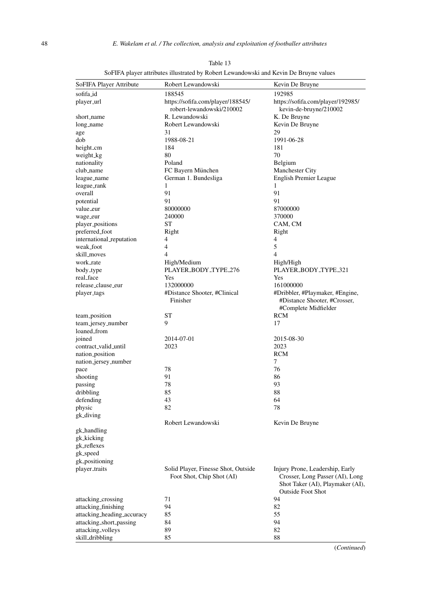| SoFIFA Player Attribute    | Robert Lewandowski                                               | Kevin De Bruyne                                                                                                                    |
|----------------------------|------------------------------------------------------------------|------------------------------------------------------------------------------------------------------------------------------------|
| sofifa_id                  | 188545                                                           | 192985                                                                                                                             |
| player_url                 | https://sofifa.com/player/188545/<br>robert-lewandowski/210002   | https://sofifa.com/player/192985/<br>kevin-de-bruyne/210002                                                                        |
| short_name                 | R. Lewandowski                                                   | K. De Bruyne                                                                                                                       |
| long_name                  | Robert Lewandowski                                               | Kevin De Bruyne                                                                                                                    |
| age                        | 31                                                               | 29                                                                                                                                 |
| dob                        | 1988-08-21                                                       | 1991-06-28                                                                                                                         |
| height_cm                  | 184                                                              | 181                                                                                                                                |
| weight_kg                  | 80                                                               | 70                                                                                                                                 |
| nationality                | Poland                                                           | Belgium                                                                                                                            |
| club_name                  | FC Bayern München                                                | Manchester City                                                                                                                    |
| league_name                | German 1. Bundesliga                                             | English Premier League                                                                                                             |
| league_rank                | 1                                                                | 1                                                                                                                                  |
| overall                    | 91                                                               | 91                                                                                                                                 |
| potential                  | 91                                                               | 91                                                                                                                                 |
| value_eur                  | 80000000                                                         | 87000000                                                                                                                           |
| wage_eur                   | 240000                                                           | 370000                                                                                                                             |
| player_positions           | SТ                                                               | CAM, CM                                                                                                                            |
| preferred_foot             | Right                                                            | Right                                                                                                                              |
| international_reputation   | 4                                                                | 4                                                                                                                                  |
| weak_foot                  | 4                                                                | 5                                                                                                                                  |
| skill_moves                | 4                                                                | 4                                                                                                                                  |
| work_rate                  | High/Medium                                                      | High/High                                                                                                                          |
| body_type                  | PLAYER_BODY_TYPE_276                                             | PLAYER_BODY_TYPE_321                                                                                                               |
| real_face                  | Yes                                                              | Yes                                                                                                                                |
| release_clause_eur         | 132000000                                                        | 161000000                                                                                                                          |
| player_tags                | #Distance Shooter, #Clinical<br>Finisher                         | #Dribbler, #Playmaker, #Engine,<br>#Distance Shooter, #Crosser,<br>#Complete Midfielder                                            |
| team <sub>-position</sub>  | ST                                                               | RCM                                                                                                                                |
| team_jersey_number         | 9                                                                | 17                                                                                                                                 |
| loaned_from                |                                                                  |                                                                                                                                    |
| joined                     | 2014-07-01                                                       | 2015-08-30                                                                                                                         |
| contract_valid_until       | 2023                                                             | 2023                                                                                                                               |
| nation_position            |                                                                  | <b>RCM</b>                                                                                                                         |
| nation_jersey_number       |                                                                  | 7                                                                                                                                  |
| pace                       | 78                                                               | 76                                                                                                                                 |
| shooting                   | 91                                                               | 86                                                                                                                                 |
| passing                    | 78                                                               | 93                                                                                                                                 |
| dribbling                  | 85                                                               | 88                                                                                                                                 |
| defending                  | 43                                                               | 64                                                                                                                                 |
| physic                     | 82                                                               | 78                                                                                                                                 |
| gk_diving                  |                                                                  |                                                                                                                                    |
|                            | Robert Lewandowski                                               | Kevin De Bruyne                                                                                                                    |
| gk_handling                |                                                                  |                                                                                                                                    |
| gk_kicking                 |                                                                  |                                                                                                                                    |
| gk_reflexes                |                                                                  |                                                                                                                                    |
| gk_speed                   |                                                                  |                                                                                                                                    |
| gk_positioning             |                                                                  |                                                                                                                                    |
| player_traits              | Solid Player, Finesse Shot, Outside<br>Foot Shot, Chip Shot (AI) | Injury Prone, Leadership, Early<br>Crosser, Long Passer (AI), Long<br>Shot Taker (AI), Playmaker (AI),<br><b>Outside Foot Shot</b> |
| attacking_crossing         | 71                                                               | 94                                                                                                                                 |
| attacking_finishing        | 94                                                               | 82                                                                                                                                 |
| attacking_heading_accuracy | 85                                                               | 55                                                                                                                                 |
| attacking_short_passing    | 84                                                               | 94                                                                                                                                 |
| attacking_volleys          | 89                                                               | 82                                                                                                                                 |
| skill_dribbling            | 85                                                               | 88                                                                                                                                 |

Table 13 SoFIFA player attributes illustrated by Robert Lewandowski and Kevin De Bruyne values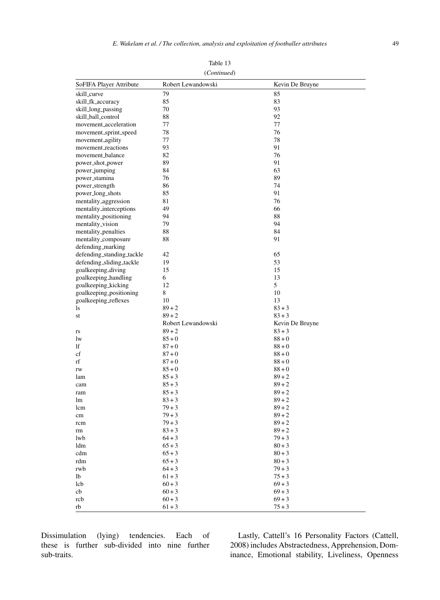| (Continued)                       |                    |                 |  |
|-----------------------------------|--------------------|-----------------|--|
| SoFIFA Player Attribute           | Robert Lewandowski | Kevin De Bruyne |  |
| skill_curve                       | 79                 | 85              |  |
| skill_fk_accuracy                 | 85                 | 83              |  |
| skill_long_passing                | 70                 | 93              |  |
| skill_ball_control                | 88                 | 92              |  |
| movement_acceleration             | 77                 | 77              |  |
| movement_sprint_speed             | 78                 | 76              |  |
| movement_agility                  | 77                 | 78              |  |
| movement_reactions                | 93                 | 91              |  |
| movement_balance                  | 82                 | 76              |  |
| power_shot_power                  | 89                 | 91              |  |
| power_jumping                     | 84                 | 63              |  |
| power_stamina                     | 76                 | 89              |  |
| power_strength                    | 86                 | 74              |  |
| power_long_shots                  | 85                 | 91              |  |
| mentality_aggression              | 81                 | 76              |  |
| mentality_interceptions           | 49                 | 66              |  |
| mentality <sub>-positioning</sub> | 94                 | 88              |  |
| mentality_vision                  | 79                 | 94              |  |
| mentality_penalties               | 88                 | 84              |  |
| mentality_composure               | 88                 | 91              |  |
| defending_marking                 |                    |                 |  |
| defending_standing_tackle         | 42                 | 65              |  |
| defending_sliding_tackle          | 19                 | 53              |  |
| goalkeeping_diving                | 15                 | 15              |  |
| goalkeeping_handling              | 6                  | 13              |  |
| goalkeeping_kicking               | 12                 | 5               |  |
| goalkeeping_positioning           | 8                  | 10              |  |
| goalkeeping_reflexes              | 10                 | 13              |  |
| ls                                | $89 + 2$           | $83 + 3$        |  |
| st                                | $89 + 2$           | $83 + 3$        |  |
|                                   | Robert Lewandowski | Kevin De Bruyne |  |
| rs                                | $89 + 2$           | $83 + 3$        |  |
| lw                                | $85 + 0$           | $88 + 0$        |  |
| lf                                | $87 + 0$           | $88 + 0$        |  |
| cf                                | $87 + 0$           | $88 + 0$        |  |
| rf                                | $87 + 0$           | $88 + 0$        |  |
| rw                                | $85 + 0$           | $88 + 0$        |  |
| lam                               | $85 + 3$           | $89 + 2$        |  |
| cam                               | $85 + 3$           | $89 + 2$        |  |
| ram                               | $85 + 3$           | $89 + 2$        |  |
| lm                                | $83 + 3$           | $89 + 2$        |  |
| lcm                               | $79 + 3$           | $89 + 2$        |  |
| cm                                | $79 + 3$           | $89 + 2$        |  |
| rcm                               | $79 + 3$           | $89 + 2$        |  |
| rm                                | $83 + 3$           | $89 + 2$        |  |
| lwb                               | $64 + 3$           | $79 + 3$        |  |
| ldm                               | $65 + 3$           | $80 + 3$        |  |
| cdm                               | $65 + 3$           | $80 + 3$        |  |
| rdm                               | $65 + 3$           | $80 + 3$        |  |
| rwb                               | $64 + 3$           | $79 + 3$        |  |
| lb                                | $61 + 3$           | $75 + 3$        |  |
| lcb                               | $60 + 3$           | $69 + 3$        |  |
| cb                                | $60 + 3$           | $69 + 3$        |  |
| rcb                               | $60 + 3$           | $69 + 3$        |  |
| rb                                | $61 + 3$           | $75 + 3$        |  |

Table 13

Dissimulation (lying) tendencies. Each of these is further sub-divided into nine further sub-traits.

Lastly, Cattell's 16 Personality Factors (Cattell, 2008) includes Abstractedness, Apprehension, Dominance, Emotional stability, Liveliness, Openness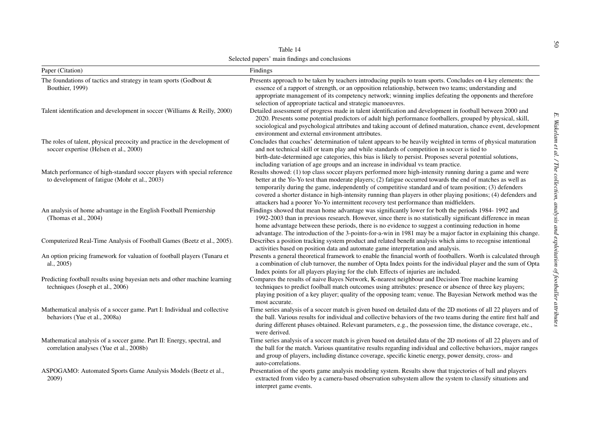| Table 14                                                                                                                  |                                                                                                                                                                                                                                                                                                                                                                                                                                                                                                                                                              |  |
|---------------------------------------------------------------------------------------------------------------------------|--------------------------------------------------------------------------------------------------------------------------------------------------------------------------------------------------------------------------------------------------------------------------------------------------------------------------------------------------------------------------------------------------------------------------------------------------------------------------------------------------------------------------------------------------------------|--|
| Selected papers' main findings and conclusions                                                                            |                                                                                                                                                                                                                                                                                                                                                                                                                                                                                                                                                              |  |
| Paper (Citation)                                                                                                          | Findings                                                                                                                                                                                                                                                                                                                                                                                                                                                                                                                                                     |  |
| The foundations of tactics and strategy in team sports (Godbout $\&$<br>Bouthier, 1999)                                   | Presents approach to be taken by teachers introducing pupils to team sports. Concludes on 4 key elements: the<br>essence of a rapport of strength, or an opposition relationship, between two teams; understanding and<br>appropriate management of its competency network; winning implies defeating the opponents and therefore<br>selection of appropriate tactical and strategic manoeuvres.                                                                                                                                                             |  |
| Talent identification and development in soccer (Williams & Reilly, 2000)                                                 | Detailed assessment of progress made in talent identification and development in football between 2000 and<br>2020. Presents some potential predictors of adult high performance footballers, grouped by physical, skill,<br>sociological and psychological attributes and taking account of defined maturation, chance event, development<br>environment and external environment attributes.                                                                                                                                                               |  |
| The roles of talent, physical precocity and practice in the development of<br>soccer expertise (Helsen et al., 2000)      | E. Wakelam et al. / The<br>Concludes that coaches' determination of talent appears to be heavily weighted in terms of physical maturation<br>and not technical skill or team play and while standards of competition in soccer is tied to<br>birth-date-determined age categories, this bias is likely to persist. Proposes several potential solutions,<br>including variation of age groups and an increase in individual vs team practice.                                                                                                                |  |
| Match performance of high-standard soccer players with special reference<br>to development of fatigue (Mohr et al., 2003) | Results showed: (1) top class soccer players performed more high-intensity running during a game and were<br>collection,<br>better at the Yo-Yo test than moderate players; (2) fatigue occurred towards the end of matches as well as<br>temporarily during the game, independently of competitive standard and of team position; (3) defenders<br>covered a shorter distance in high-intensity running than players in other playing positions; (4) defenders and<br>attackers had a poorer Yo-Yo intermittent recovery test performance than midfielders. |  |
| An analysis of home advantage in the English Football Premiership<br>(Thomas et al., 2004)                                | analysis and<br>Findings showed that mean home advantage was significantly lower for both the periods 1984-1992 and<br>1992-2003 than in previous research. However, since there is no statistically significant difference in mean<br>home advantage between these periods, there is no evidence to suggest a continuing reduction in home<br>advantage. The introduction of the 3-points-for-a-win in 1981 may be a major factor in explaining this change.                                                                                                |  |
| Computerized Real-Time Analysis of Football Games (Beetz et al., 2005).                                                   | Describes a position tracking system product and related benefit analysis which aims to recognise intentional<br>activities based on position data and automate game interpretation and analysis.                                                                                                                                                                                                                                                                                                                                                            |  |
| An option pricing framework for valuation of football players (Tunaru et<br>al., $2005$ )                                 | Presents a general theoretical framework to enable the financial worth of footballers. Worth is calculated through<br>a combination of club turnover, the number of Opta Index points for the individual player and the sum of Opta<br>Index points for all players playing for the club. Effects of injuries are included.                                                                                                                                                                                                                                  |  |
| Predicting football results using bayesian nets and other machine learning<br>techniques (Joseph et al., 2006)            | exploitation of footballer<br>Compares the results of naive Bayes Network, K-nearest neighbour and Decision Tree machine learning<br>techniques to predict foolball match outcomes using attributes: presence or absence of three key players;<br>playing position of a key player; quality of the opposing team; venue. The Bayesian Network method was the<br>most accurate.                                                                                                                                                                               |  |
| Mathematical analysis of a soccer game. Part I: Individual and collective<br>behaviors (Yue et al., 2008a)                | attributes<br>Time series analysis of a soccer match is given based on detailed data of the 2D motions of all 22 players and of<br>the ball. Various results for individual and collective behaviors of the two teams during the entire first half and<br>during different phases obtained. Relevant parameters, e.g., the possession time, the distance coverage, etc.,<br>were derived.                                                                                                                                                                    |  |
| Mathematical analysis of a soccer game. Part II: Energy, spectral, and<br>correlation analyses (Yue et al., 2008b)        | Time series analysis of a soccer match is given based on detailed data of the 2D motions of all 22 players and of<br>the ball for the match. Various quantitative results regarding individual and collective behaviors, major ranges<br>and group of players, including distance coverage, specific kinetic energy, power density, cross- and<br>auto-correlations.                                                                                                                                                                                         |  |
| ASPOGAMO: Automated Sports Game Analysis Models (Beetz et al.,<br>2009)                                                   | Presentation of the sports game analysis modeling system. Results show that trajectories of ball and players<br>extracted from video by a camera-based observation subsystem allow the system to classify situations and<br>interpret game events.                                                                                                                                                                                                                                                                                                           |  |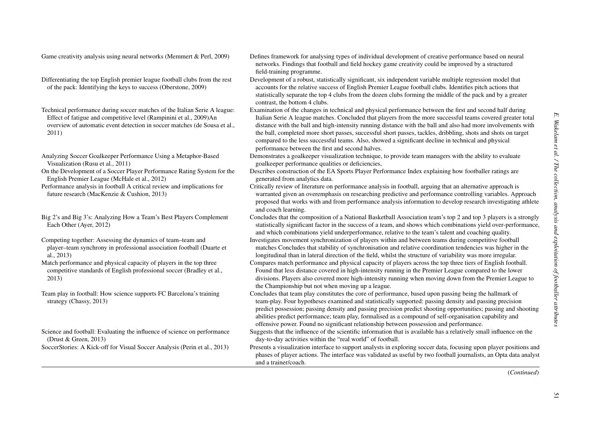- Differentiating the top English premier league football clubs from the rest of the pack: Identifying the keys to success (Oberstone, 2009)
- Technical performance during soccer matches of the Italian Serie A league: Effect of fatigue and competitive level (Rampinini et al., 2009)An overview of automatic event detection in soccer matches (de Sousa et al., 2011)
- Analyzing Soccer Goalkeeper Performance Using <sup>a</sup> Metaphor-Based Visualization (Rusu et al., 2011)
- On the Development of <sup>a</sup> Soccer Player Performance Rating System for the English Premier League (McHale et al., 2012)
- Performance analysis in football A critical review and implications for future research (MacKenzie & Cushion, 2013)
- Big 2's and Big 3's: Analyzing How <sup>a</sup> Team's Best Players Complement Each Other (Ayer, 2012)
- Competing together: Assessing the dynamics of team–team and player–team synchrony in professional association football (Duarte et al., 2013)
- Match performance and physical capacity of players in the top three competitive standards of English professional soccer (Bradley et al., 2013)
- Team play in football: How science supports FC Barcelona's training strategy (Chassy, 2013)
- Science and football: Evaluating the influence of science on performance (Drust & Green, 2013)

- Game creativity analysis using neural networks (Memmert & Perl, 2009) Defines framework for analysing types of individual development of creative performance based on neural networks. Findings that football and field hockey game creativity could be improved by <sup>a</sup> structured field-training programme.
	- Development of <sup>a</sup> robust, statistically significant, six independent variable multiple regression model that accounts for the relative success of English Premier League football clubs. Identifies pitch actions that statistically separate the top 4 clubs from the dozen clubs forming the middle of the pack and by <sup>a</sup> greater contrast, the bottom 4 clubs.
	- Examination of the changes in technical and physical performance between the first and second half during Italian Serie A league matches. Concluded that players from the more successful teams covered greater total distance with the ball and high-intensity running distance with the ball and also had more involvements with the ball, completed more short passes, successful short passes, tackles, dribbling, shots and shots on target compared to the less successful teams. Also, showed <sup>a</sup> significant decline in technical and physical performance between the first and second halves.
	- Demonstrates <sup>a</sup> goalkeeper visualization technique, to provide team managers with the ability to evaluate goalkeeper performance qualities or deficiencies,
	- Describes construction of the EA Sports Player Performance Index explaining how footballer ratings are generated from analytics data.
	- Critically review of literature on performance analysis in football, arguing that an alternative approach is warranted given an overemphasis on researching predictive and performance controlling variables. Approach proposed that works with and from performance analysis information to develop research investigating athlete and coach learning.
	- Concludes that the composition of <sup>a</sup> National Basketball Association team's top 2 and top 3 players is <sup>a</sup> strongly statistically significant factor in the success of <sup>a</sup> team, and shows which combinations yield over-performance, and which combinations yield underperformance, relative to the team's talent and coaching quality.
	- Investigates movement synchronization of players within and between teams during competitive football matches Concludes that stability of synchronisation and relative coordination tendencies was higher in the longitudinal than in lateral direction of the field, whilst the structure of variability was more irregular.
	- Compares match performance and physical capacity of players across the top three tiers of English football. Found that less distance covered in high-intensity running in the Premier League compared to the lower divisions. Players also covered more high-intensity running when moving down from the Premier League to the Championship but not when moving up <sup>a</sup> league.
	- Concludes that team play constitutes the core of performance, based upon passing being the hallmark of team-play. Four hypotheses examined and statistically supported: passing density and passing precision predict possession; passing density and passing precision predict shooting opportunities; passing and shooting abilities predict performance; team play, formalised as <sup>a</sup> compound of self-organisation capability and offensive power. Found no significant relationship between possession and performance.
	- Suggests that the influence of the scientific information that is available has <sup>a</sup> relatively small influence on the day-to-day activities within the "real world" of football.
- SoccerStories: A Kick-off for Visual Soccer Analysis (Perin et al., 2013) Presents <sup>a</sup> visualization interface to suppor<sup>t</sup> analysts in exploring soccer data, focusing upon player positions and phases of player actions. The interface was validated as useful by two football journalists, an Opta data analyst and <sup>a</sup> trainer/coach.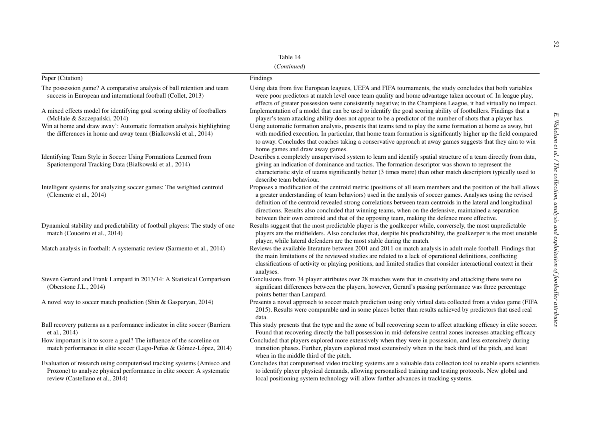(*Continued*)

|                                                                                                                                                                                                                                                       | Table 14<br>(Continued)                                                                                                                                                                                                                                                                                                                                                                                                                                                                                                                                                        |
|-------------------------------------------------------------------------------------------------------------------------------------------------------------------------------------------------------------------------------------------------------|--------------------------------------------------------------------------------------------------------------------------------------------------------------------------------------------------------------------------------------------------------------------------------------------------------------------------------------------------------------------------------------------------------------------------------------------------------------------------------------------------------------------------------------------------------------------------------|
| Paper (Citation)                                                                                                                                                                                                                                      | Findings                                                                                                                                                                                                                                                                                                                                                                                                                                                                                                                                                                       |
| The possession game? A comparative analysis of ball retention and team<br>success in European and international football (Collet, 2013)                                                                                                               | Using data from five European leagues, UEFA and FIFA tournaments, the study concludes that both variables<br>were poor predictors at match level once team quality and home advantage taken account of. In league play,<br>effects of greater possession were consistently negative; in the Champions League, it had virtually no impact.                                                                                                                                                                                                                                      |
| A mixed effects model for identifying goal scoring ability of footballers<br>(McHale & Szczepański, 2014)<br>Win at home and draw away': Automatic formation analysis highlighting<br>the differences in home and away team (Bialkowski et al., 2014) | Implementation of a model that can be used to identify the goal scoring ability of footballers. Findings that a<br>player's team attacking ability does not appear to be a predictor of the number of shots that a player has.<br>Using automatic formation analysis, presents that teams tend to play the same formation at home as away, but<br>with modified execution. In particular, that home team formation is significantly higher up the field compared<br>to away. Concludes that coaches taking a conservative approach at away games suggests that they aim to win |
| Identifying Team Style in Soccer Using Formations Learned from<br>Spatiotemporal Tracking Data (Bialkowski et al., 2014)                                                                                                                              | home games and draw away games.<br>Describes a completely unsupervised system to learn and identify spatial structure of a team directly from data,<br>giving an indication of dominance and tactics. The formation descriptor was shown to represent the<br>characteristic style of teams significantly better (3 times more) than other match descriptors typically used to<br>describe team behaviour.                                                                                                                                                                      |
| Intelligent systems for analyzing soccer games: The weighted centroid<br>(Clemente et al., 2014)                                                                                                                                                      | Proposes a modification of the centroid metric (positions of all team members and the position of the ball allows<br>a greater understanding of team behaviors) used in the analysis of soccer games. Analyses using the revised<br>definition of the centroid revealed strong correlations between team centroids in the lateral and longitudinal<br>directions. Results also concluded that winning teams, when on the defensive, maintained a separation<br>between their own centroid and that of the opposing team, making the defence more effective.                    |
| Dynamical stability and predictability of football players: The study of one<br>match (Couceiro et al., 2014)                                                                                                                                         | Results suggest that the most predictable player is the goalkeeper while, conversely, the most unpredictable<br>players are the midfielders. Also concludes that, despite his predictability, the goalkeeper is the most unstable<br>player, while lateral defenders are the most stable during the match.                                                                                                                                                                                                                                                                     |
| Match analysis in football: A systematic review (Sarmento et al., 2014)                                                                                                                                                                               | Reviews the available literature between 2001 and 2011 on match analysis in adult male football. Findings that<br>the main limitations of the reviewed studies are related to a lack of operational definitions, conflicting<br>classifications of activity or playing positions, and limited studies that consider interactional context in their<br>analyses.                                                                                                                                                                                                                |
| Steven Gerrard and Frank Lampard in 2013/14: A Statistical Comparison<br>(Oberstone J.L., 2014)                                                                                                                                                       | Conclusions from 34 player attributes over 28 matches were that in creativity and attacking there were no<br>significant differences between the players, however, Gerard's passing performance was three percentage<br>points better than Lampard.                                                                                                                                                                                                                                                                                                                            |
| A novel way to soccer match prediction (Shin & Gasparyan, 2014)                                                                                                                                                                                       | Presents a novel approach to soccer match prediction using only virtual data collected from a video game (FIFA<br>2015). Results were comparable and in some places better than results achieved by predictors that used real<br>data.                                                                                                                                                                                                                                                                                                                                         |
| Ball recovery patterns as a performance indicator in elite soccer (Barriera<br>et al., 2014)                                                                                                                                                          | This study presents that the type and the zone of ball recovering seem to affect attacking efficacy in elite soccer.<br>Found that recovering directly the ball possession in mid-defensive central zones increases attacking efficacy                                                                                                                                                                                                                                                                                                                                         |
| How important is it to score a goal? The influence of the scoreline on<br>match performance in elite soccer (Lago-Peñas & Gómez-López, 2014)                                                                                                          | Concluded that players explored more extensively when they were in possession, and less extensively during<br>transition phases. Further, players explored most extensively when in the back third of the pitch, and least<br>when in the middle third of the pitch.                                                                                                                                                                                                                                                                                                           |
| Evaluation of research using computerised tracking systems (Amisco and<br>Prozone) to analyze physical performance in elite soccer: A systematic<br>review (Castellano et al., 2014)                                                                  | Concludes that computerised video tracking systems are a valuable data collection tool to enable sports scientists<br>to identify player physical demands, allowing personalised training and testing protocols. New global and<br>local positioning system technology will allow further advances in tracking systems.                                                                                                                                                                                                                                                        |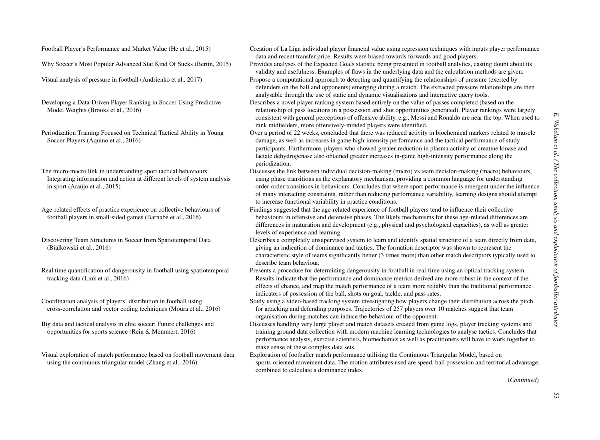Developing <sup>a</sup> Data-Driven Player Ranking in Soccer Using Predictive Model Weights (Brooks et al., 2016)

Periodization Training Focused on Technical Tactical Ability in Young Soccer Players (Aquino et al., 2016)

The micro-macro link in understanding spor<sup>t</sup> tactical behaviours: Integrating information and action at different levels of system analysis in sport (Araújo et al., 2015)

Age-related effects of practice experience on collective behaviours of football players in small-sided games (Barnabé et al., 2016)

Discovering Team Structures in Soccer from Spatiotemporal Data (Bialkowski et al., 2016)

Real time quantification of dangerousity in football using spatiotemporal tracking data (Link et al., 2016)

Coordination analysis of players' distribution in football using cross-correlation and vector coding techniques (Moura et al., 2016)

Big data and tactical analysis in elite soccer: Future challenges and opportunities for sports science (Rein & Memmert, 2016)

Visual exploration of match performance based on football movement data using the continuous triangular model (Zhang et al., 2016)

Football Player's Performance and Market Value (He et al., 2015) Creation of La Liga individual player financial value using regression techniques with inputs player performance data and recent transfer price. Results were biased towards forwards and good players.

Why Soccer's Most Popular Advanced Stat Kind Of Sucks (Bertin, 2015) Provides analyses of the Expected Goals statistic being presented in football analytics, casting doubt about its validity and usefulness. Examples of flaws in the underlying data and the calculation methods are given.

Visual analysis of pressure in football (Andrienko et al., 2017) Propose <sup>a</sup> computational approach to detecting and quantifying the relationships of pressure (exerted by defenders on the ball and opponents) emerging during <sup>a</sup> match. The extracted pressure relationships are then analysable through the use of static and dynamic visualisations and interactive query tools.

> Describes <sup>a</sup> novel player ranking system based entirely on the value of passes completed (based on the relationship of pass locations in <sup>a</sup> possession and shot opportunities generated). Player rankings were largely consistent with general perceptions of offensive ability, e.g., Messi and Ronaldo are near the top. When used to rank midfielders, more offensively-minded players were identified.

Over <sup>a</sup> period of 22 weeks, concluded that there was reduced activity in biochemical markers related to muscle damage, as well as increases in game high-intensity performance and the tactical performance of study participants. Furthermore, players who showed greater reduction in plasma activity of creatine kinase and lactate dehydrogenase also obtained greater increases in-game high-intensity performance along the periodization.

Discusses the link between individual decision-making (micro) vs team decision-making (macro) behaviours, using phase transitions as the explanatory mechanism, providing <sup>a</sup> common language for understanding order-order transitions in behaviours. Concludes that where spor<sup>t</sup> performance is emergen<sup>t</sup> under the influence of many interacting constraints, rather than reducing performance variability, learning designs should attempt to increase functional variability in practice conditions.

Findings suggested that the age-related experience of football players tend to influence their collective behaviours in offensive and defensive phases. The likely mechanisms for these age-related differences are differences in maturation and development (e.g., physical and psychological capacities), as well as greater levels of experience and learning.

Describes <sup>a</sup> completely unsupervised system to learn and identify spatial structure of <sup>a</sup> team directly from data, giving an indication of dominance and tactics. The formation descriptor was shown to represen<sup>t</sup> the characteristic style of teams significantly better (3 times more) than other match descriptors typically used to describe team behaviour.

Presents <sup>a</sup> procedure for determining dangerousity in football in real-time using an optical tracking system. Results indicate that the performance and dominance metrics derived are more robust in the context of the effects of chance, and map the match performance of <sup>a</sup> team more reliably than the traditional performance indicators of possession of the ball, shots on goal, tackle, and pass rates.

Study using <sup>a</sup> video-based tracking system investigating how players change their distribution across the pitch for attacking and defending purposes. Trajectories of 257 players over 10 matches sugges<sup>t</sup> that team organisation during matches can induce the behaviour of the opponent.

Discusses handling very large player and match datasets created from game logs, player tracking systems and training ground data collection with modern machine learning technologies to analyse tactics. Concludes that performance analysts, exercise scientists, biomechanics as well as practitioners will have to work together to make sense of these complex data sets.

Exploration of footballer match performance utilising the Continuous Triangular Model, based on sports-oriented movement data. The motion attributes used are speed, ball possession and territorial advantage, combined to calculate <sup>a</sup> dominance index.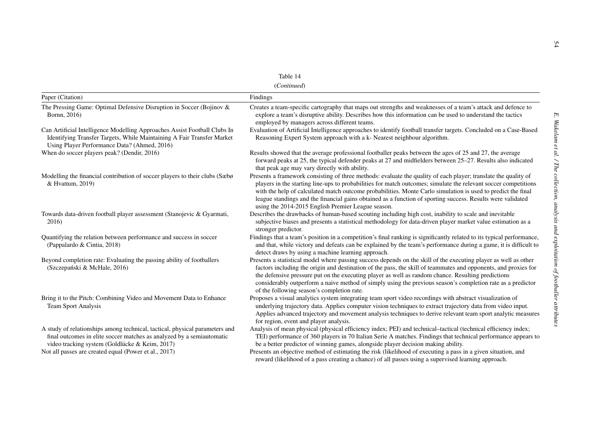| Table |  |
|-------|--|
|-------|--|

(*Continued*)

|                                                                                                                                                                                                        | Table 14                                                                                                                                                                                                                                                                                                                                                                                                                                                                                                                |  |
|--------------------------------------------------------------------------------------------------------------------------------------------------------------------------------------------------------|-------------------------------------------------------------------------------------------------------------------------------------------------------------------------------------------------------------------------------------------------------------------------------------------------------------------------------------------------------------------------------------------------------------------------------------------------------------------------------------------------------------------------|--|
| (Continued)                                                                                                                                                                                            |                                                                                                                                                                                                                                                                                                                                                                                                                                                                                                                         |  |
| Paper (Citation)                                                                                                                                                                                       | Findings                                                                                                                                                                                                                                                                                                                                                                                                                                                                                                                |  |
| The Pressing Game: Optimal Defensive Disruption in Soccer (Bojinov &<br>Bornn, 2016)                                                                                                                   | Creates a team-specific cartography that maps out strengths and weaknesses of a team's attack and defence to<br>explore a team's disruptive ability. Describes how this information can be used to understand the tactics<br>employed by managers across different teams.                                                                                                                                                                                                                                               |  |
| Can Artificial Intelligence Modelling Approaches Assist Football Clubs In<br>Identifying Transfer Targets, While Maintaining A Fair Transfer Market<br>Using Player Performance Data? (Ahmed, 2016)    | Evaluation of Artificial Intelligence approaches to identify football transfer targets. Concluded on a Case-Based<br>Reasoning Expert System approach with a k- Nearest neighbour algorithm.                                                                                                                                                                                                                                                                                                                            |  |
| When do soccer players peak? (Dendir, 2016)                                                                                                                                                            | Results showed that the average professional footballer peaks between the ages of 25 and 27, the average<br>forward peaks at 25, the typical defender peaks at 27 and midfielders between 25–27. Results also indicated<br>that peak age may vary directly with ability.                                                                                                                                                                                                                                                |  |
| Modelling the financial contribution of soccer players to their clubs (Sæbø<br>& Hvattum, 2019)                                                                                                        | Presents a framework consisting of three methods: evaluate the quality of each player; translate the quality of<br>players in the starting line-ups to probabilities for match outcomes; simulate the relevant soccer competitions<br>with the help of calculated match outcome probabilities. Monte Carlo simulation is used to predict the final<br>league standings and the financial gains obtained as a function of sporting success. Results were validated<br>using the 2014-2015 English Premier League season. |  |
| Towards data-driven football player assessment (Stanojevic & Gyarmati,<br>2016)                                                                                                                        | Describes the drawbacks of human-based scouting including high cost, inability to scale and inevitable<br>subjective biases and presents a statistical methodology for data-driven player market value estimation as a<br>stronger predictor.                                                                                                                                                                                                                                                                           |  |
| Quantifying the relation between performance and success in soccer<br>(Pappalardo & Cintia, 2018)                                                                                                      | Findings that a team's position in a competition's final ranking is significantly related to its typical performance,<br>and that, while victory and defeats can be explained by the team's performance during a game, it is difficult to<br>detect draws by using a machine learning approach.                                                                                                                                                                                                                         |  |
| Beyond completion rate: Evaluating the passing ability of footballers<br>(Szczepański & McHale, 2016)                                                                                                  | Presents a statistical model where passing success depends on the skill of the executing player as well as other<br>factors including the origin and destination of the pass, the skill of teammates and opponents, and proxies for<br>the defensive pressure put on the executing player as well as random chance. Resulting predictions<br>considerably outperform a naive method of simply using the previous season's completion rate as a predictor<br>of the following season's completion rate.                  |  |
| Bring it to the Pitch: Combining Video and Movement Data to Enhance<br><b>Team Sport Analysis</b>                                                                                                      | Proposes a visual analytics system integrating team sport video recordings with abstract visualization of<br>underlying trajectory data. Applies computer vision techniques to extract trajectory data from video input.<br>Applies advanced trajectory and movement analysis techniques to derive relevant team sport analytic measures<br>for region, event and player analysis.                                                                                                                                      |  |
| A study of relationships among technical, tactical, physical parameters and<br>final outcomes in elite soccer matches as analyzed by a semiautomatic<br>video tracking system (Goldlücke & Keim, 2017) | Analysis of mean physical (physical efficiency index; PEI) and technical-tactical (technical efficiency index;<br>TEI) performance of 360 players in 70 Italian Serie A matches. Findings that technical performance appears to<br>be a better predictor of winning games, alongside player decision making ability.                                                                                                                                                                                                    |  |
| Not all passes are created equal (Power et al., 2017)                                                                                                                                                  | Presents an objective method of estimating the risk (likelihood of executing a pass in a given situation, and<br>reward (likelihood of a pass creating a chance) of all passes using a supervised learning approach.                                                                                                                                                                                                                                                                                                    |  |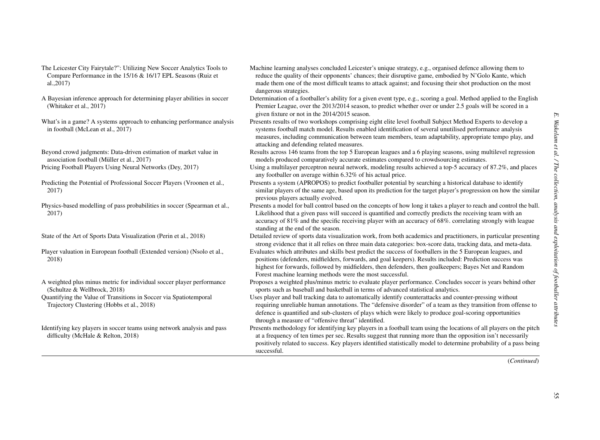- The Leicester City Fairytale?": Utilizing New Soccer Analytics Tools to Compare Performance in the 15/16 & 16/17 EPL Seasons (Ruiz et al.,2017)
- A Bayesian inference approach for determining player abilities in soccer (Whitaker et al., 2017)
- What's in <sup>a</sup> game? A systems approach to enhancing performance analysis in football (McLean et al., 2017)
- Beyond crowd judgments: Data-driven estimation of market value in association football (Müller et al., 2017)
- Predicting the Potential of Professional Soccer Players (Vroonen et al., 2017)
- Physics-based modelling of pass probabilities in soccer (Spearman et al., 2017)
- 
- Player valuation in European football (Extended version) (Nsolo et al., 2018)
- A weighted plus minus metric for individual soccer player performance (Schultze & Wellbrock, 2018) Quantifying the Value of Transitions in Soccer via Spatiotemporal
- Trajectory Clustering (Hobbs et al., 2018)
- Identifying key players in soccer teams using network analysis and pass difficulty (McHale & Relton, 2018)
- Machine learning analyses concluded Leicester's unique strategy, e.g., organised defence allowing them to reduce the quality of their opponents' chances; their disruptive game, embodied by N'Golo Kante, which made them one of the most difficult teams to attack against; and focusing their shot production on the most dangerous strategies.
- Determination of <sup>a</sup> footballer's ability for <sup>a</sup> given event type, e.g., scoring <sup>a</sup> goal. Method applied to the English Premier League, over the 2013/2014 season, to predict whether over or under 2.5 goals will be scored in <sup>a</sup> given fixture or not in the 2014/2015 season.
- Presents results of two workshops comprising eight elite level football Subject Method Experts to develop <sup>a</sup> systems football match model. Results enabled identification of several unutilised performance analysis measures, including communication between team members, team adaptability, appropriate tempo play, and attacking and defending related measures.
- Results across 146 teams from the top 5 European leagues and <sup>a</sup> 6 playing seasons, using multilevel regression models produced comparatively accurate estimates compared to crowdsourcing estimates.
- Pricing Football Players Using Neural Networks (Dey, 2017) Using a multilayer perceptron neural network, modeling results achieved a top-5 accuracy of 87.2%, and places any footballer on average within 6.32% of his actual price.
	- Presents <sup>a</sup> system (APROPOS) to predict footballer potential by searching <sup>a</sup> historical database to identify similar players of the same age, based upon its prediction for the target player's progression on how the similar previous players actually evolved.
	- Presents <sup>a</sup> model for ball control based on the concepts of how long it takes <sup>a</sup> player to reach and control the ball. Likelihood that <sup>a</sup> given pass will succeed is quantified and correctly predicts the receiving team with an accuracy of 81% and the specific receiving player with an accuracy of 68%. correlating strongly with league standing at the end of the season.
- State of the Art of Sports Data Visualization (Perin et al., 2018) Detailed review of sports data visualization work, from both academics and practitioners, in particular presenting strong evidence that it all relies on three main data categories: box-score data, tracking data, and meta-data.
	- Evaluates which attributes and skills best predict the success of footballers in the 5 European leagues, and positions (defenders, midfielders, forwards, and goal keepers). Results included: Prediction success was highest for forwards, followed by midfielders, then defenders, then goalkeepers; Bayes Net and Random Forest machine learning methods were the most successful.
	- Proposes <sup>a</sup> weighted plus/minus metric to evaluate player performance. Concludes soccer is years behind other sports such as baseball and basketball in terms of advanced statistical analytics.
	- Uses player and ball tracking data to automatically identify counterattacks and counter-pressing without requiring unreliable human annotations. The "defensive disorder" of <sup>a</sup> team as they transition from offense to defence is quantified and sub-clusters of plays which were likely to produce goal-scoring opportunities through <sup>a</sup> measure of "offensive threat" identified.
	- Presents methodology for identifying key players in <sup>a</sup> football team using the locations of all players on the pitch at <sup>a</sup> frequency of ten times per sec. Results sugges<sup>t</sup> that running more than the opposition isn't necessarily positively related to success. Key players identified statistically model to determine probability of <sup>a</sup> pass being successful.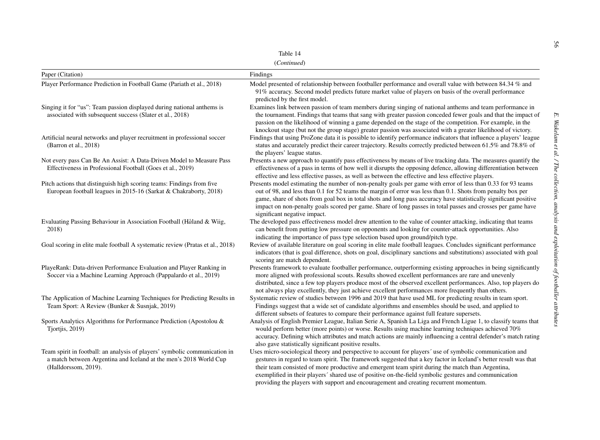|                                                                                                                                                                         | Table 14                                                                                                                                                                                                                                                                                                                                                                                                                                                                                                                            |
|-------------------------------------------------------------------------------------------------------------------------------------------------------------------------|-------------------------------------------------------------------------------------------------------------------------------------------------------------------------------------------------------------------------------------------------------------------------------------------------------------------------------------------------------------------------------------------------------------------------------------------------------------------------------------------------------------------------------------|
|                                                                                                                                                                         | (Continued)                                                                                                                                                                                                                                                                                                                                                                                                                                                                                                                         |
| Paper (Citation)                                                                                                                                                        | Findings                                                                                                                                                                                                                                                                                                                                                                                                                                                                                                                            |
| Player Performance Prediction in Football Game (Pariath et al., 2018)                                                                                                   | Model presented of relationship between footballer performance and overall value with between 84.34 % and<br>91% accuracy. Second model predicts future market value of players on basis of the overall performance<br>predicted by the first model.                                                                                                                                                                                                                                                                                |
| Singing it for "us": Team passion displayed during national anthems is<br>associated with subsequent success (Slater et al., 2018)                                      | Examines link between passion of team members during singing of national anthems and team performance in<br>the tournament. Findings that teams that sang with greater passion conceded fewer goals and that the impact of<br>passion on the likelihood of winning a game depended on the stage of the competition. For example, in the<br>knockout stage (but not the group stage) greater passion was associated with a greater likelihood of victory.                                                                            |
| Artificial neural networks and player recruitment in professional soccer<br>(Barron et al., 2018)                                                                       | Findings that using ProZone data it is possible to identify performance indicators that influence a players' league<br>status and accurately predict their career trajectory. Results correctly predicted between 61.5% and 78.8% of<br>the players' league status.                                                                                                                                                                                                                                                                 |
| Not every pass Can Be An Assist: A Data-Driven Model to Measure Pass<br>Effectiveness in Professional Football (Goes et al., 2019)                                      | Presents a new approach to quantify pass effectiveness by means of live tracking data. The measures quantify the<br>effectiveness of a pass in terms of how well it disrupts the opposing defence, allowing differentiation between<br>effective and less effective passes, as well as between the effective and less effective players.                                                                                                                                                                                            |
| Pitch actions that distinguish high scoring teams: Findings from five<br>European football leagues in 2015-16 (Sarkat & Chakraborty, 2018)                              | Presents model estimating the number of non-penalty goals per game with error of less than 0.33 for 93 teams<br>out of 98, and less than 0.1 for 52 teams the margin of error was less than 0.1. Shots from penalty box per<br>game, share of shots from goal box in total shots and long pass accuracy have statistically significant positive<br>impact on non-penalty goals scored per game. Share of long passes in total passes and crosses per game have<br>significant negative impact.                                      |
| Evaluating Passing Behaviour in Association Football (Håland & Wiig,<br>2018)                                                                                           | The developed pass effectiveness model drew attention to the value of counter attacking, indicating that teams<br>can benefit from putting low pressure on opponents and looking for counter-attack opportunities. Also<br>indicating the importance of pass type selection based upon ground/pitch type.                                                                                                                                                                                                                           |
| Goal scoring in elite male football A systematic review (Pratas et al., 2018)                                                                                           | Review of available literature on goal scoring in elite male football leagues. Concludes significant performance<br>indicators (that is goal difference, shots on goal, disciplinary sanctions and substitutions) associated with goal<br>scoring are match dependent.                                                                                                                                                                                                                                                              |
| PlayeRank: Data-driven Performance Evaluation and Player Ranking in<br>Soccer via a Machine Learning Approach (Pappalardo et al., 2019)                                 | Presents framework to evaluate footballer performance, outperforming existing approaches in being significantly<br>more aligned with professional scouts. Results showed excellent performances are rare and unevenly<br>distributed, since a few top players produce most of the observed excellent performances. Also, top players do<br>not always play excellently, they just achieve excellent performances more frequently than others.                                                                                       |
| The Application of Machine Learning Techniques for Predicting Results in<br>Team Sport: A Review (Bunker & Susnjak, 2019)                                               | Systematic review of studies between 1996 and 2019 that have used ML for predicting results in team sport.<br>Findings suggest that a wide set of candidate algorithms and ensembles should be used, and applied to<br>different subsets of features to compare their performance against full feature supersets.                                                                                                                                                                                                                   |
| Sports Analytics Algorithms for Performance Prediction (Apostolou &<br>Tiortiis, 2019)                                                                                  | Analysis of English Premier League, Italian Serie A, Spanish La Liga and French Ligue 1, to classify teams that<br>would perform better (more points) or worse. Results using machine learning techniques achieved 70%<br>accuracy. Defining which attributes and match actions are mainly influencing a central defender's match rating<br>also gave statistically significant positive results.                                                                                                                                   |
| Team spirit in football: an analysis of players' symbolic communication in<br>a match between Argentina and Iceland at the men's 2018 World Cup<br>(Halldorssom, 2019). | Uses micro-sociological theory and perspective to account for players' use of symbolic communication and<br>gestures in regard to team spirit. The framework suggested that a key factor in Iceland's better result was that<br>their team consisted of more productive and emergent team spirit during the match than Argentina,<br>exemplified in their players' shared use of positive on-the-field symbolic gestures and communication<br>providing the players with support and encouragement and creating recurrent momentum. |

56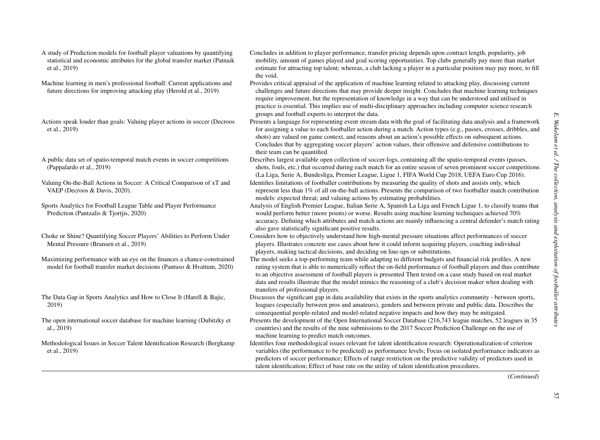- A study of Prediction models for football player valuations by quantifying statistical and economic attributes for the global transfer market (Patnaik et al., 2019)
- Machine learning in men's professional football: Current applications and future directions for improving attacking play (Herold et al., 2019)
- Actions speak louder than goals: Valuing player actions in soccer (Decroos et al., 2019)
- A public data set of spatio-temporal match events in soccer competitions (Pappalardo et al., 2019)
- Valuing On-the-Ball Actions in Soccer: A Critical Comparison of xT and VAEP (Decroos & Davis, 2020).
- Sports Analytics for Football League Table and Player Performance Prediction (Pantzalis & Tiortiis, 2020)
- Choke or Shine? Quantifying Soccer Players' Abilities to Perform Under Mental Pressure (Bransen et al., 2019)
- Maximizing performance with an eye on the finances <sup>a</sup> chance-constrained model for football transfer market decisions (Pantuso & Hvattum, 2020)
- The Data Gap in Sports Analytics and How to Close It (Harell & Bajic, 2019)
- The open international soccer database for machine learning (Dubitzky et al., 2019)
- Methodological Issues in Soccer Talent Identification Research (Bergkamp et al., 2019)
- Concludes in addition to player performance, transfer pricing depends upon contract length, popularity, job mobility, amount of games played and goal scoring opportunities. Top clubs generally pay more than market estimate for attracting top talent; whereas, <sup>a</sup> club lacking <sup>a</sup> player in <sup>a</sup> particular position may pay more, to fill the void.
- Provides critical appraisal of the application of machine learning related to attacking play, discussing current challenges and future directions that may provide deeper insight. Concludes that machine learning techniques require improvement, but the representation of knowledge in <sup>a</sup> way that can be understood and utilised in practice is essential. This implies use of multi-disciplinary approaches including computer science research groups and football experts to interpret the data.
- Presents <sup>a</sup> language for representing event stream data with the goal of facilitating data analysis and <sup>a</sup> framework for assigning <sup>a</sup> value to each footballer action during <sup>a</sup> match. Action types (e.g., passes, crosses, dribbles, and shots) are valued on game context, and reasons about an action's possible effects on subsequent actions. Concludes that by aggregating soccer players' action values, their offensive and defensive contributions to their team can be quantified.
- Describes largest available open collection of soccer-logs, containing all the spatio-temporal events (passes, shots, fouls, etc.) that occurred during each match for an entire season of seven prominent soccer competitions (La Liga, Serie A, Bundesliga, Premier League, Ligue 1, FIFA World Cup 2018, UEFA Euro Cup 2016).
- Identifies limitations of footballer contributions by measuring the quality of shots and assists only, which represen<sup>t</sup> less than 1% of all on-the-ball actions. Presents the comparison of two footballer match contribution models: expected threat; and valuing actions by estimating probabilities.
- Analysis of English Premier League, Italian Serie A, Spanish La Liga and French Ligue 1, to classify teams that would perform better (more points) or worse. Results using machine learning techniques achieved 70% accuracy. Defining which attributes and match actions are mainly influencing <sup>a</sup> central defender's match rating also gave statistically significant positive results.
- Considers how to objectively understand how high-mental pressure situations affect performances of soccer players. Illustrates concrete use cases about how it could inform acquiring players, coaching individual players, making tactical decisions, and deciding on line-ups or substitutions.
- The model seeks <sup>a</sup> top-performing team while adapting to different budgets and financial risk profiles. A new rating system that is able to numerically reflect the on-field performance of football players and thus contribute to an objective assessment of football players is presented Then tested on <sup>a</sup> case study based on real market data and results illustrate that the model mimics the reasoning of <sup>a</sup> club's decision maker when dealing with transfers of professional players.
- Discusses the significant gap in data availability that exists in the sports analytics community between sports, leagues (especially between pros and amateurs), genders and between private and public data. Describes the consequential people-related and model-related negative impacts and how they may be mitigated.
- Presents the development of the Open International Soccer Database (216,743 league matches, 52 leagues in 35 countries) and the results of the nine submissions to the 2017 Soccer Prediction Challenge on the use of machine learning to predict match outcomes.
- Identifies four methodological issues relevant for talent identification research: Operationalization of criterion variables (the performance to be predicted) as performance levels; Focus on isolated performance indicators as predictors of soccer performance; Effects of range restriction on the predictive validity of predictors used in talent identification; Effect of base rate on the utility of talent identification procedures.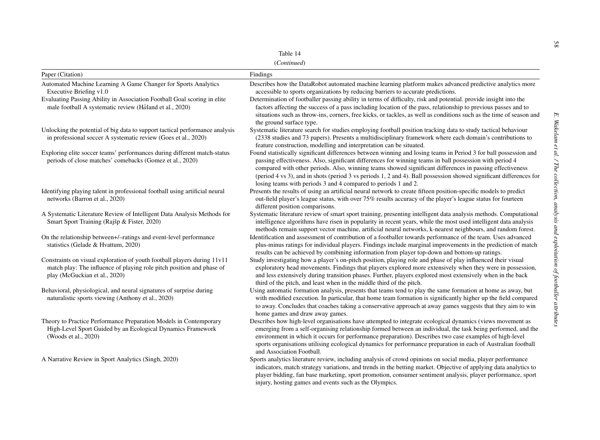| Lable. |  |
|--------|--|
|--------|--|

(*Continued*)

|                                                                                                                                                                                                                                  | Table 14                                                                                                                                                                                                                                                                                                                                                                                                                                                                                                                                                                              |
|----------------------------------------------------------------------------------------------------------------------------------------------------------------------------------------------------------------------------------|---------------------------------------------------------------------------------------------------------------------------------------------------------------------------------------------------------------------------------------------------------------------------------------------------------------------------------------------------------------------------------------------------------------------------------------------------------------------------------------------------------------------------------------------------------------------------------------|
|                                                                                                                                                                                                                                  | (Continued)                                                                                                                                                                                                                                                                                                                                                                                                                                                                                                                                                                           |
| Paper (Citation)                                                                                                                                                                                                                 | Findings                                                                                                                                                                                                                                                                                                                                                                                                                                                                                                                                                                              |
| Automated Machine Learning A Game Changer for Sports Analytics<br>Executive Briefing v1.0<br>Evaluating Passing Ability in Association Football Goal scoring in elite<br>male football A systematic review (Håland et al., 2020) | Describes how the DataRobot automated machine learning platform makes advanced predictive analytics more<br>accessible to sports organizations by reducing barriers to accurate predictions.<br>Determination of footballer passing ability in terms of difficulty, risk and potential. provide insight into the<br>factors affecting the success of a pass including location of the pass, relationship to previous passes and to<br>situations such as throw-ins, corners, free kicks, or tackles, as well as conditions such as the time of season and<br>the ground surface type. |
| Unlocking the potential of big data to support tactical performance analysis<br>in professional soccer A systematic review (Goes et al., 2020)                                                                                   | Systematic literature search for studies employing football position tracking data to study tactical behaviour<br>(2338 studies and 73 papers). Presents a multidisciplinary framework where each domain's contributions to<br>feature construction, modelling and interpretation can be situated.                                                                                                                                                                                                                                                                                    |
| Exploring elite soccer teams' performances during different match-status<br>periods of close matches' comebacks (Gomez et al., 2020)                                                                                             | Found statistically significant differences between winning and losing teams in Period 3 for ball possession and<br>passing effectiveness. Also, significant differences for winning teams in ball possession with period 4<br>compared with other periods. Also, winning teams showed significant differences in passing effectiveness<br>(period 4 vs 3), and in shots (period 3 vs periods 1, 2 and 4). Ball possession showed significant differences for<br>losing teams with periods 3 and 4 compared to periods 1 and 2.                                                       |
| Identifying playing talent in professional football using artificial neural<br>networks (Barron et al., 2020)                                                                                                                    | Presents the results of using an artificial neural network to create fifteen position-specific models to predict<br>out-field player's league status, with over 75% results accuracy of the player's league status for fourteen<br>different position comparisons.                                                                                                                                                                                                                                                                                                                    |
| A Systematic Literature Review of Intelligent Data Analysis Methods for<br>Smart Sport Training (Rajšp & Fister, 2020)                                                                                                           | Systematic literature review of smart sport training, presenting intelligent data analysis methods. Computational<br>intelligence algorithms have risen in popularity in recent years, while the most used intelligent data analysis<br>methods remain support vector machine, artificial neural networks, k-nearest neighbours, and random forest.                                                                                                                                                                                                                                   |
| On the relationship between+/-ratings and event-level performance<br>statistics (Gelade & Hvattum, 2020)                                                                                                                         | Identification and assessment of contribution of a footballer towards performance of the team. Uses advanced<br>plus-minus ratings for individual players. Findings include marginal improvements in the prediction of match<br>results can be achieved by combining information from player top-down and bottom-up ratings.                                                                                                                                                                                                                                                          |
| Constraints on visual exploration of youth football players during 11v11<br>match play: The influence of playing role pitch position and phase of<br>play (McGuckian et al., 2020)                                               | Study investigating how a player's on-pitch position, playing role and phase of play influenced their visual<br>exploratory head movements. Findings that players explored more extensively when they were in possession,<br>and less extensively during transition phases. Further, players explored most extensively when in the back<br>third of the pitch, and least when in the middle third of the pitch.                                                                                                                                                                       |
| Behavioral, physiological, and neural signatures of surprise during<br>naturalistic sports viewing (Anthony et al., 2020)                                                                                                        | Using automatic formation analysis, presents that teams tend to play the same formation at home as away, but<br>with modified execution. In particular, that home team formation is significantly higher up the field compared<br>to away. Concludes that coaches taking a conservative approach at away games suggests that they aim to win<br>home games and draw away games.                                                                                                                                                                                                       |
| Theory to Practice Performance Preparation Models in Contemporary<br>High-Level Sport Guided by an Ecological Dynamics Framework<br>(Woods et al., 2020)                                                                         | Describes how high-level organisations have attempted to integrate ecological dynamics (views movement as<br>emerging from a self-organising relationship formed between an individual, the task being performed, and the<br>environment in which it occurs for performance preparation). Describes two case examples of high-level<br>sports organisations utilising ecological dynamics for performance preparation in each of Australian football<br>and Association Football.                                                                                                     |
| A Narrative Review in Sport Analytics (Singh, 2020)                                                                                                                                                                              | Sports analytics literature review, including analysis of crowd opinions on social media, player performance<br>indicators, match strategy variations, and trends in the betting market. Objective of applying data analytics to<br>player bidding, fan base marketing, sport promotion, consumer sentiment analysis, player performance, sport<br>injury, hosting games and events such as the Olympics.                                                                                                                                                                             |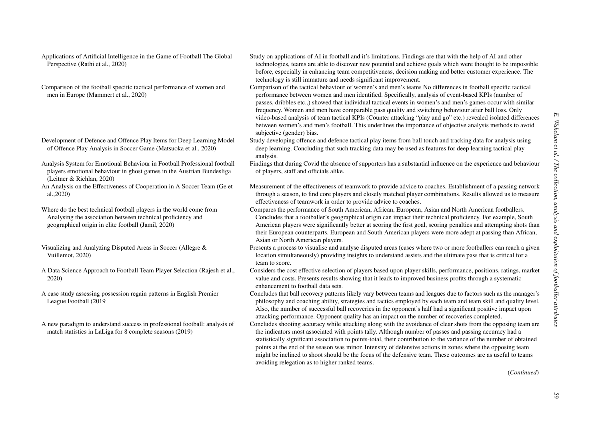Applications of Artificial Intelligence in the Game of Football The Global Perspective (Rathi et al., 2020)

- Comparison of the football specific tactical performance of women and men in Europe (Mammert et al., 2020)
- Development of Defence and Offence Play Items for Deep Learning Model of Offence Play Analysis in Soccer Game (Matsuoka et al., 2020)
- Analysis System for Emotional Behaviour in Football Professional football players emotional behaviour in ghost games in the Austrian Bundesliga (Leitner & Richlan, 2020)
- An Analysis on the Effectiveness of Cooperation in A Soccer Team (Ge et al.,2020)

Where do the best technical football players in the world come from Analysing the association between technical proficiency and geographical origin in elite football (Jamil, 2020)

- Visualizing and Analyzing Disputed Areas in Soccer (Allegre & Vuillemot, 2020)
- A Data Science Approach to Football Team Player Selection (Rajesh et al., 2020)
- A case study assessing possession regain patterns in English Premier League Football (2019
- A new paradigm to understand success in professional football: analysis of match statistics in LaLiga for 8 complete seasons (2019)
- Study on applications of AI in football and it's limitations. Findings are that with the help of AI and other technologies, teams are able to discover new potential and achieve goals which were thought to be impossible before, especially in enhancing team competitiveness, decision making and better customer experience. The technology is still immature and needs significant improvement.
- Comparison of the tactical behaviour of women's and men's teams No differences in football specific tactical performance between women and men identified. Specifically, analysis of event-based KPIs (number of passes, dribbles etc.,) showed that individual tactical events in women's and men's games occur with similar frequency. Women and men have comparable pass quality and switching behaviour after ball loss. Only video-based analysis of team tactical KPIs (Counter attacking "play and go" etc.) revealed isolated differences between women's and men's football. This underlines the importance of objective analysis methods to avoid subjective (gender) bias.
- Study developing offence and defence tactical play items from ball touch and tracking data for analysis using deep learning. Concluding that such tracking data may be used as features for deep learning tactical play analysis.
- Findings that during Covid the absence of supporters has <sup>a</sup> substantial influence on the experience and behaviour of players, staff and officials alike.
- Measurement of the effectiveness of teamwork to provide advice to coaches. Establishment of <sup>a</sup> passing network through <sup>a</sup> season, to find core players and closely matched player combinations. Results allowed us to measure effectiveness of teamwork in order to provide advice to coaches.
- Compares the performance of South American, African, European, Asian and North American footballers. Concludes that <sup>a</sup> footballer's geographical origin can impact their technical proficiency. For example, South American players were significantly better at scoring the first goal, scoring penalties and attempting shots than their European counterparts. European and South American players were more adept at passing than African, Asian or North American players.
- Presents <sup>a</sup> process to visualise and analyse disputed areas (cases where two or more footballers can reach <sup>a</sup> given location simultaneously) providing insights to understand assists and the ultimate pass that is critical for <sup>a</sup> team to score.
- Considers the cost effective selection of players based upon player skills, performance, positions, ratings, market value and costs. Presents results showing that it leads to improved business profits through <sup>a</sup> systematic enhancement to football data sets.
- Concludes that ball recovery patterns likely vary between teams and leagues due to factors such as the manager's philosophy and coaching ability, strategies and tactics employed by each team and team skill and quality level. Also, the number of successful ball recoveries in the opponent's half had <sup>a</sup> significant positive impact upon attacking performance. Opponent quality has an impact on the number of recoveries completed.
- Concludes shooting accuracy while attacking along with the avoidance of clear shots from the opposing team are the indicators most associated with points tally. Although number of passes and passing accuracy had <sup>a</sup> statistically significant association to points-total, their contribution to the variance of the number of obtained points at the end of the season was minor. Intensity of defensive actions in zones where the opposing team might be inclined to shoot should be the focus of the defensive team. These outcomes are as useful to teams avoiding relegation as to higher ranked teams.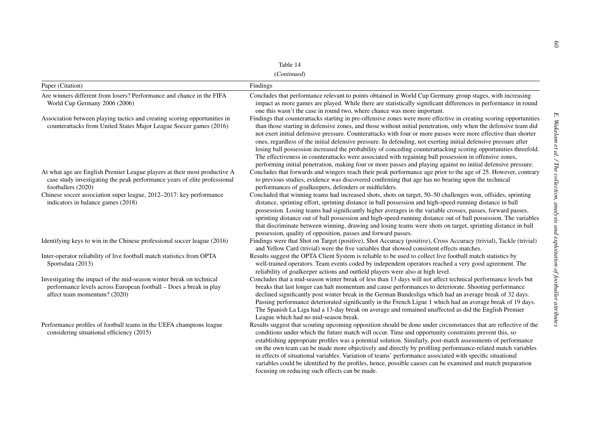| ×<br>۹<br>v. |  |
|--------------|--|
|--------------|--|

(*Continued*)

| Table 14                                                                                                                                                                     |                                                                                                                                                                                                                                                                                                                                                                                                                                                                                                                                                                                                                                                                                                                                                                                                                          |  |
|------------------------------------------------------------------------------------------------------------------------------------------------------------------------------|--------------------------------------------------------------------------------------------------------------------------------------------------------------------------------------------------------------------------------------------------------------------------------------------------------------------------------------------------------------------------------------------------------------------------------------------------------------------------------------------------------------------------------------------------------------------------------------------------------------------------------------------------------------------------------------------------------------------------------------------------------------------------------------------------------------------------|--|
| (Continued)                                                                                                                                                                  |                                                                                                                                                                                                                                                                                                                                                                                                                                                                                                                                                                                                                                                                                                                                                                                                                          |  |
| Paper (Citation)                                                                                                                                                             | Findings                                                                                                                                                                                                                                                                                                                                                                                                                                                                                                                                                                                                                                                                                                                                                                                                                 |  |
| Are winners different from losers? Performance and chance in the FIFA<br>World Cup Germany 2006 (2006)                                                                       | Concludes that performance relevant to points obtained in World Cup Germany group stages, with increasing<br>impact as more games are played. While there are statistically significant differences in performance in round<br>one this wasn't the case in round two, where chance was more important.                                                                                                                                                                                                                                                                                                                                                                                                                                                                                                                   |  |
| Association between playing tactics and creating scoring opportunities in<br>counterattacks from United States Major League Soccer games (2016)                              | Findings that counterattacks starting in pre-offensive zones were more effective in creating scoring opportunities<br>than those starting in defensive zones, and those without initial penetration, only when the defensive team did<br>not exert initial defensive pressure. Counterattacks with four or more passes were more effective than shorter<br>ones, regardless of the initial defensive pressure. In defending, not exerting initial defensive pressure after<br>losing ball possession increased the probability of conceding counterattacking scoring opportunities threefold.<br>The effectiveness in counterattacks were associated with regaining ball possession in offensive zones,<br>performing initial penetration, making four or more passes and playing against no initial defensive pressure. |  |
| At what age are English Premier League players at their most productive A<br>case study investigating the peak performance years of elite professional<br>footballers (2020) | Concludes that forwards and wingers reach their peak performance age prior to the age of 25. However, contrary<br>to previous studies, evidence was discovered confirming that age has no bearing upon the technical<br>performances of goalkeepers, defenders or midfielders.                                                                                                                                                                                                                                                                                                                                                                                                                                                                                                                                           |  |
| Chinese soccer association super league, 2012-2017: key performance<br>indicators in balance games (2018)                                                                    | Concluded that winning teams had increased shots, shots on target, 50-50 challenges won, offsides, sprinting<br>distance, sprinting effort, sprinting distance in ball possession and high-speed-running distance in ball<br>possession. Losing teams had significantly higher averages in the variable crosses, passes, forward passes,<br>sprinting distance out of ball possession and high-speed-running distance out of ball possession. The variables<br>that discriminate between winning, drawing and losing teams were shots on target, sprinting distance in ball<br>possession, quality of opposition, passes and forward passes.                                                                                                                                                                             |  |
| Identifying keys to win in the Chinese professional soccer league (2016)                                                                                                     | Findings were that Shot on Target (positive), Shot Accuracy (positive), Cross Accuracy (trivial), Tackle (trivial)<br>and Yellow Card (trivial) were the five variables that showed consistent effects matches.                                                                                                                                                                                                                                                                                                                                                                                                                                                                                                                                                                                                          |  |
| Inter-operator reliability of live football match statistics from OPTA<br>Sportsdata (2013)                                                                                  | Results suggest the OPTA Client System is reliable to be used to collect live football match statistics by<br>well-trained operators. Team events coded by independent operators reached a very good agreement. The<br>reliability of goalkeeper actions and outfield players were also at high level.                                                                                                                                                                                                                                                                                                                                                                                                                                                                                                                   |  |
| Investigating the impact of the mid-season winter break on technical<br>performance levels across European football - Does a break in play<br>affect team momentum? (2020)   | Concludes that a mid-season winter break of less than 13 days will not affect technical performance levels but<br>breaks that last longer can halt momentum and cause performances to deteriorate. Shooting performance<br>declined significantly post winter break in the German Bundesliga which had an average break of 32 days.<br>Passing performance deteriorated significantly in the French Ligue 1 which had an average break of 19 days.<br>The Spanish La Liga had a 13-day break on average and remained unaffected as did the English Premier<br>League which had no mid-season break.                                                                                                                                                                                                                      |  |
| Performance profiles of football teams in the UEFA champions league<br>considering situational efficiency (2015)                                                             | Results suggest that scouting upcoming opposition should be done under circumstances that are reflective of the<br>conditions under which the future match will occur. Time and opportunity constraints prevent this, so<br>establishing appropriate profiles was a potential solution. Similarly, post-match assessments of performance<br>on the own team can be made more objectively and directly by profiling performance-related match variables<br>in effects of situational variables. Variation of teams' performance associated with specific situational<br>variables could be identified by the profiles, hence, possible causes can be examined and match preparation<br>focusing on reducing such effects can be made.                                                                                     |  |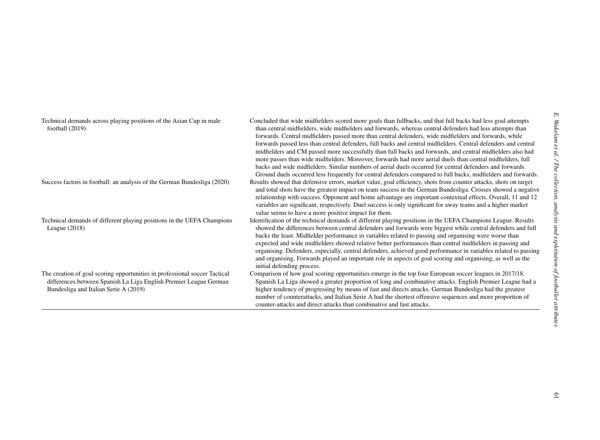| Technical demands across playing positions of the Asian Cup in male<br>football (2019)                                                                                                   | Concluded that wide midfielders scored more goals than fullbacks, and that full backs had less goal attempts<br>Wakelam<br>than central midfielders, wide midfielders and forwards, whereas central defenders had less attempts than<br>forwards. Central midfielders passed more than central defenders, wide midfielders and forwards, while<br>forwards passed less than central defenders, full backs and central midfielders. Central defenders and central<br>midfielders and CM passed more successfully than full backs and forwards, and central midfielders also had<br>al. / The collection,<br>more passes than wide midfielders. Moreover, forwards had more aerial duels than central midfielders, full<br>backs and wide midfielders. Similar numbers of aerial duels occurred for central defenders and forwards.<br>Ground duels occurred less frequently for central defenders compared to full backs, midfielders and forwards. |
|------------------------------------------------------------------------------------------------------------------------------------------------------------------------------------------|----------------------------------------------------------------------------------------------------------------------------------------------------------------------------------------------------------------------------------------------------------------------------------------------------------------------------------------------------------------------------------------------------------------------------------------------------------------------------------------------------------------------------------------------------------------------------------------------------------------------------------------------------------------------------------------------------------------------------------------------------------------------------------------------------------------------------------------------------------------------------------------------------------------------------------------------------|
| Success factors in football: an analysis of the German Bundesliga (2020)                                                                                                                 | Results showed that defensive errors, market value, goal efficiency, shots from counter attacks, shots on target<br>and total shots have the greatest impact on team success in the German Bundesliga. Crosses showed a negative<br>relationship with success. Opponent and home advantage are important contextual effects. Overall, 11 and 12<br>variables are significant, respectively. Duel success is only significant for away teams and a higher market<br>analysis<br>value seems to have a more positive impact for them.                                                                                                                                                                                                                                                                                                                                                                                                                |
| Technical demands of different playing positions in the UEFA Champions<br>League $(2018)$                                                                                                | Identification of the technical demands of different playing positions in the UEFA Champions League. Results<br>and<br>showed the differences between central defenders and forwards were biggest while central defenders and full<br>backs the least. Midfielder performance in variables related to passing and organising were worse than<br>exploitation<br>expected and wide midfielders showed relative better performances than central midfielders in passing and<br>organising. Defenders, especially, central defenders, achieved good performance in variables related to passing<br>and organising. Forwards played an important role in aspects of goal scoring and organising, as well as the<br>initial defending process.                                                                                                                                                                                                          |
| The creation of goal scoring opportunities in professional soccer Tactical<br>differences between Spanish La Liga English Premier League German<br>Bundesliga and Italian Serie A (2019) | of footballer<br>Comparison of how goal scoring opportunities emerge in the top four European soccer leagues in 2017/18.<br>Spanish La Liga showed a greater proportion of long and combinative attacks. English Premier League had a<br>higher tendency of progressing by means of fast and directs attacks. German Bundesliga had the greatest<br>number of counterattacks, and Italian Serie A had the shortest offensive sequences and more proportion of<br>counter-attacks and direct attacks than combinative and fast attacks.                                                                                                                                                                                                                                                                                                                                                                                                             |
|                                                                                                                                                                                          | attributes                                                                                                                                                                                                                                                                                                                                                                                                                                                                                                                                                                                                                                                                                                                                                                                                                                                                                                                                         |
|                                                                                                                                                                                          | o                                                                                                                                                                                                                                                                                                                                                                                                                                                                                                                                                                                                                                                                                                                                                                                                                                                                                                                                                  |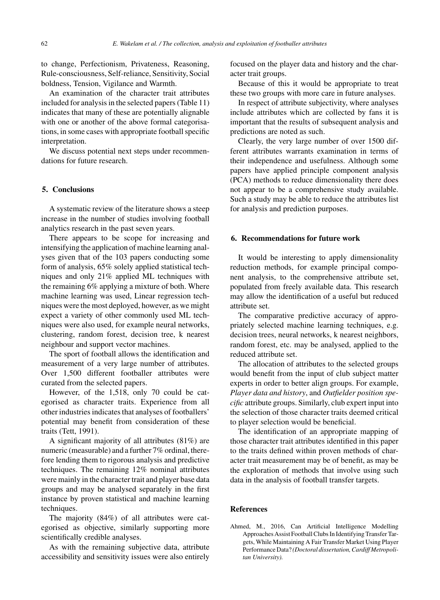to change, Perfectionism, Privateness, Reasoning, Rule-consciousness, Self-reliance, Sensitivity, Social boldness, Tension, Vigilance and Warmth.

An examination of the character trait attributes included for analysis in the selected papers (Table 11) indicates that many of these are potentially alignable with one or another of the above formal categorisations, in some cases with appropriate football specific interpretation.

We discuss potential next steps under recommendations for future research.

#### **5. Conclusions**

A systematic review of the literature shows a steep increase in the number of studies involving football analytics research in the past seven years.

There appears to be scope for increasing and intensifying the application of machine learning analyses given that of the 103 papers conducting some form of analysis, 65% solely applied statistical techniques and only 21% applied ML techniques with the remaining 6% applying a mixture of both. Where machine learning was used, Linear regression techniques were the most deployed, however, as we might expect a variety of other commonly used ML techniques were also used, for example neural networks, clustering, random forest, decision tree, k nearest neighbour and support vector machines.

The sport of football allows the identification and measurement of a very large number of attributes. Over 1,500 different footballer attributes were curated from the selected papers.

However, of the 1,518, only 70 could be categorised as character traits. Experience from all other industries indicates that analyses of footballers' potential may benefit from consideration of these traits (Tett, 1991).

A significant majority of all attributes (81%) are numeric (measurable) and a further 7% ordinal, therefore lending them to rigorous analysis and predictive techniques. The remaining 12% nominal attributes were mainly in the character trait and player base data groups and may be analysed separately in the first instance by proven statistical and machine learning techniques.

The majority (84%) of all attributes were categorised as objective, similarly supporting more scientifically credible analyses.

As with the remaining subjective data, attribute accessibility and sensitivity issues were also entirely focused on the player data and history and the character trait groups.

Because of this it would be appropriate to treat these two groups with more care in future analyses.

In respect of attribute subjectivity, where analyses include attributes which are collected by fans it is important that the results of subsequent analysis and predictions are noted as such.

Clearly, the very large number of over 1500 different attributes warrants examination in terms of their independence and usefulness. Although some papers have applied principle component analysis (PCA) methods to reduce dimensionality there does not appear to be a comprehensive study available. Such a study may be able to reduce the attributes list for analysis and prediction purposes.

#### **6. Recommendations for future work**

It would be interesting to apply dimensionality reduction methods, for example principal component analysis, to the comprehensive attribute set, populated from freely available data. This research may allow the identification of a useful but reduced attribute set.

The comparative predictive accuracy of appropriately selected machine learning techniques, e.g. decision trees, neural networks, k nearest neighbors, random forest, etc. may be analysed, applied to the reduced attribute set.

The allocation of attributes to the selected groups would benefit from the input of club subject matter experts in order to better align groups. For example, *Player data and history*, and *Outfielder position specific* attribute groups. Similarly, club expert input into the selection of those character traits deemed critical to player selection would be beneficial.

The identification of an appropriate mapping of those character trait attributes identified in this paper to the traits defined within proven methods of character trait measurement may be of benefit, as may be the exploration of methods that involve using such data in the analysis of football transfer targets.

#### **References**

Ahmed, M., 2016, Can Artificial Intelligence Modelling Approaches Assist Football Clubs In Identifying Transfer Targets, While Maintaining A Fair Transfer Market Using Player Performance Data? *(Doctoral dissertation, Cardiff Metropolitan University).*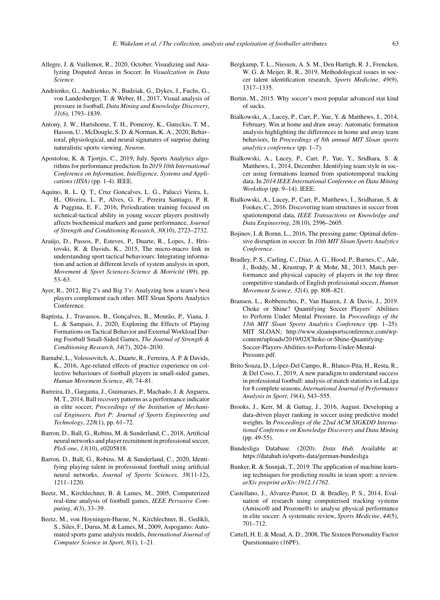- Allegre, J. & Vuillemot, R., 2020, October. Visualizing and Analyzing Disputed Areas in Soccer. In *Visualization in Data Science*.
- Andrienko, G., Andrienko, N., Budziak, G., Dykes, J., Fuchs, G., von Landesberger, T. & Weber, H., 2017, Visual analysis of pressure in football, *Data Mining and Knowledge Discovery*, *31*(6), 1793–1839.
- Antony, J. W., Hartshorne, T. H., Pomeroy, K., Gureckis, T. M., Hasson, U., McDougle, S. D. & Norman, K. A., 2020, Behavioral, physiological, and neural signatures of surprise during naturalistic sports viewing. *Neuron*.
- Apostolou, K. & Tjortjis, C., 2019, July. Sports Analytics algorithms for performance prediction. In *2019 10th International Conference on Information, Intelligence, Systems and Applications (IISA)* (pp. 1-4). IEEE.
- Aquino, R. L. Q. T., Cruz Goncalves, L. G., Palucci Vieira, L. H., Oliveira, L. P., Alves, G. F., Pereira Santiago, P. R. & Puggina, E. F., 2016, Periodization training focused on technical-tactical ability in young soccer players positively affects biochemical markers and game performance, *Journal of Strength and Conditioning Research*, *30*(10), 2723–2732.
- Araújo, D., Passos, P., Esteves, P., Duarte, R., Lopes, J., Hristovski, R. & Davids, K., 2015, The micro-macro link in understanding sport tactical behaviours: Integrating information and action at different levels of system analysis in sport, *Movement & Sport Sciences-Science & Motricité* (89), pp. 53–63.
- Ayer, R., 2012, Big 2's and Big 3's: Analyzing how a team's best players complement each other. MIT Sloan Sports Analytics Conference.
- Baptista, J., Travassos, B., Goncalves, B., Mourão, P., Viana, J. L. & Sampaio, J., 2020, Exploring the Effects of Playing Formations on Tactical Behavior and External Workload During Football Small-Sided Games, *The Journal of Strength & Conditioning Research*, *34*(7), 2024–2030.
- Barnabé, L., Volossovitch, A., Duarte, R., Ferreira, A. P. & Davids, K., 2016, Age-related effects of practice experience on collective behaviours of football players in small-sided games, *Human Movement Science*, *48*, 74–81.
- Barreira, D., Garganta, J., Guimaraes, P., Machado, J. & Anguera, M. T., 2014, Ball recovery patterns as a performance indicator in elite soccer, *Proceedings of the Institution of Mechanical Engineers, Part P: Journal of Sports Engineering and Technology*, *228*(1), pp. 61–72.
- Barron, D., Ball, G., Robins, M. & Sunderland, C., 2018, Artificial neural networks and player recruitment in professional soccer, *PloS one*, *13*(10), e0205818.
- Barron, D., Ball, G., Robins, M. & Sunderland, C., 2020, Identifying playing talent in professional football using artificial neural networks, *Journal of Sports Sciences*, *38*(11-12), 1211–1220.
- Beetz, M., Kirchlechner, B. & Lames, M., 2005, Computerized real-time analysis of football games, *IEEE Pervasive Computing*, *4*(3), 33–39.
- Beetz, M., von Hoyningen-Huene, N., Kirchlechner, B., Gedikli, S., Siles, F., Durus, M. & Lames, M., 2009, Aspogamo: Automated sports game analysis models, *International Journal of Computer Science in Sport*, *8*(1), 1–21.
- Bergkamp, T. L., Niessen, A. S. M., Den Hartigh, R. J., Frencken, W. G. & Meijer, R. R., 2019, Methodological issues in soccer talent identification research, *Sports Medicine*, *49*(9), 1317–1335.
- Bertin, M., 2015. Why soccer's most popular advanced stat kind of sucks.
- Bialkowski, A., Lucey, P., Carr, P., Yue, Y. & Matthews, I., 2014, February. Win at home and draw away: Automatic formation analysis highlighting the differences in home and away team behaviors, In *Proceedings of 8th annual MIT Sloan sports analytics conference* (pp. 1–7).
- Bialkowski, A., Lucey, P., Carr, P., Yue, Y., Sridhara, S. & Matthews, I., 2014, December. Identifying team style in soccer using formations learned from spatiotemporal tracking data. In *2014 IEEE International Conference on Data Mining Workshop* (pp. 9–14). IEEE.
- Bialkowski, A., Lucey, P., Carr, P., Matthews, I., Sridharan, S. & Fookes, C., 2016. Discovering team structures in soccer from spatiotemporal data, *IEEE Transactions on Knowledge and Data Engineering*, *28*(10), 2596–2605.
- Bojinov, I. & Bornn, L., 2016, The pressing game: Optimal defensive disruption in soccer. In *10th MIT Sloan Sports Analytics Conference*.
- Bradley, P. S., Carling, C., Diaz, A. G., Hood, P., Barnes, C., Ade, J., Boddy, M., Krustrup, P. & Mohr, M., 2013, Match performance and physical capacity of players in the top three competitive standards of English professional soccer, *Human Movement Science*, *32*(4), pp. 808–821.
- Bransen, L., Robberechts, P., Van Haaren, J. & Davis, J., 2019. Choke or Shine? Quantifying Soccer Players' Abilities to Perform Under Mental Pressure. In *Proceedings of the 13th MIT Sloan Sports Analytics Conference* (pp. 1–25). MIT SLOAN; [http://www.sloansportsconference.com/wp](http://www.sloansportsconference.com/wp-content/uploads/2019/02/Choke-or-Shine-Quantifying-Soccer-Players-Abilities-to-Perform-Under-Mental-Pressure.pdf)content/uploads/2019/02/Choke-or-Shine-Quantifying-Soccer-Players-Abilities-to-Perform-Under-Mental-Pressure.pdf.
- Brito Souza, D., López-Del Campo, R., Blanco-Pita, H., Resta, R., & Del Coso, J., 2019, A new paradigm to understand success in professional football: analysis of match statistics in LaLiga for 8 complete seasons, *International Journal of Performance Analysis in Sport*, *19*(4), 543–555.
- Brooks, J., Kerr, M. & Guttag, J., 2016, August. Developing a data-driven player ranking in soccer using predictive model weights. In *Proceedings of the 22nd ACM SIGKDD International Conference on Knowledge Discovery and Data Mining* (pp. 49-55).
- Bundesliga Database. (2020). *Data Hub.* Available at: <https://datahub.io/sports-data/german-bundesliga>
- Bunker, R. & Susnjak, T., 2019. The application of machine learning techniques for predicting results in team sport: a review. *arXiv preprint arXiv:1912.11762*.
- Castellano, J., Alvarez-Pastor, D. & Bradley, P. S., 2014, Evaluation of research using computerised tracking systems (Amisco® and Prozone®) to analyse physical performance in elite soccer: A systematic review, *Sports Medicine*, *44*(5), 701–712.
- Cattell, H. E. & Mead, A. D., 2008, The Sixteen Personality Factor Questionnaire (16PF).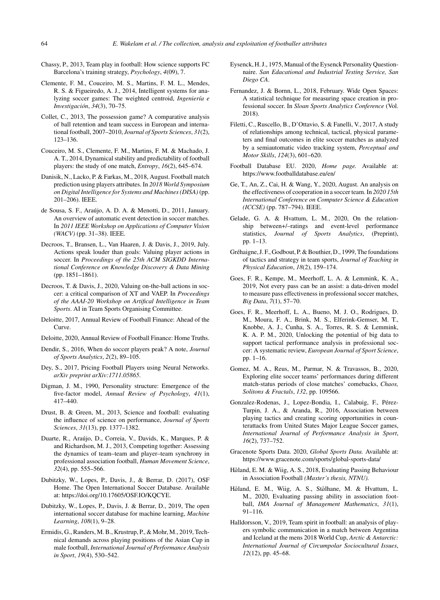- Chassy, P., 2013, Team play in football: How science supports FC Barcelona's training strategy, *Psychology*, *4*(09), 7.
- Clemente, F. M., Couceiro, M. S., Martins, F. M. L., Mendes, R. S. & Figueiredo, A. J., 2014, Intelligent systems for analyzing soccer games: The weighted centroid, *Ingeniería e Investigaci ´on*, *34*(3), 70–75.
- Collet, C., 2013, The possession game? A comparative analysis of ball retention and team success in European and international football, 2007–2010, *Journal of Sports Sciences*, *31*(2), 123–136.
- Couceiro, M. S., Clemente, F. M., Martins, F. M. & Machado, J. A. T., 2014, Dynamical stability and predictability of football players: the study of one match, *Entropy*, *16*(2), 645–674.
- Danisik, N., Lacko, P. & Farkas, M., 2018, August. Football match prediction using players attributes. In *2018 World Symposium on Digital Intelligence for Systems and Machines (DISA)* (pp. 201–206). IEEE.
- de Sousa, S. F., Araújo, A. D. A. & Menotti, D., 2011, January. An overview of automatic event detection in soccer matches. In *2011 IEEE Workshop on Applications of Computer Vision (WACV)* (pp. 31–38). IEEE.
- Decroos, T., Bransen, L., Van Haaren, J. & Davis, J., 2019, July. Actions speak louder than goals: Valuing player actions in soccer. In *Proceedings of the 25th ACM SIGKDD International Conference on Knowledge Discovery & Data Mining* (pp. 1851–1861).
- Decroos, T. & Davis, J., 2020, Valuing on-the-ball actions in soccer: a critical comparison of XT and VAEP. In *Proceedings of the AAAI-20 Workshop on Artifical Intelligence in Team Sports*. AI in Team Sports Organising Committee.
- Deloitte, 2017, Annual Review of Football Finance: Ahead of the Curve.
- Deloitte, 2020, Annual Review of Football Finance: Home Truths.
- Dendir, S., 2016, When do soccer players peak? A note, *Journal of Sports Analytics*, *2*(2), 89–105.
- Dey, S., 2017, Pricing Football Players using Neural Networks. *arXiv preprint arXiv:1711.05865*.
- Digman, J. M., 1990, Personality structure: Emergence of the five-factor model, *Annual Review of Psychology*, *41*(1), 417–440.
- Drust, B. & Green, M., 2013, Science and football: evaluating the influence of science on performance, *Journal of Sports Sciences*, *31*(13), pp. 1377–1382.
- Duarte, R., Araujo, D., Correia, V., Davids, K., Marques, P. & ´ and Richardson, M. J., 2013, Competing together: Assessing the dynamics of team–team and player–team synchrony in professional association football, *Human Movement Science*, *32*(4), pp. 555–566.
- Dubitzky, W., Lopes, P., Davis, J., & Berrar, D. (2017), OSF Home. The Open International Soccer Database. Available at: [https://doi.org/10.17605/OSF.IO/KQCYE.](https://doi.org/10.17605/OSF.IO/KQCYE)
- Dubitzky, W., Lopes, P., Davis, J. & Berrar, D., 2019, The open international soccer database for machine learning, *Machine Learning*, *108*(1), 9–28.
- Ermidis, G., Randers, M. B., Krustrup, P., & Mohr, M., 2019, Technical demands across playing positions of the Asian Cup in male football, *International Journal of Performance Analysis in Sport*, *19*(4), 530–542.
- Eysenck, H. J., 1975, Manual of the Eysenck Personality Questionnaire. *San Edacational and Industrial Testing Service, San Diego CA*.
- Fernandez, J. & Bornn, L., 2018, February. Wide Open Spaces: A statistical technique for measuring space creation in professional soccer. In *Sloan Sports Analytics Conference* (Vol. 2018).
- Filetti, C., Ruscello, B., D'Ottavio, S. & Fanelli, V., 2017, A study of relationships among technical, tactical, physical parameters and final outcomes in elite soccer matches as analyzed by a semiautomatic video tracking system, *Perceptual and Motor Skills*, *124*(3), 601–620.
- Football Database EU. 2020, *Home page.* Available at: <https://www.footballdatabase.eu/en/>
- Ge, T., An, Z., Cai, H. & Wang, Y., 2020, August. An analysis on the effectiveness of cooperation in a soccer team. In *2020 15th International Conference on Computer Science & Education (ICCSE)* (pp. 787–794). IEEE.
- Gelade, G. A. & Hvattum, L. M., 2020, On the relationship between+/–ratings and event-level performance statistics, *Journal of Sports Analytics*, (Preprint), pp. 1–13.
- Gréhaigne, J. F., Godbout, P. & Bouthier, D., 1999, The foundations of tactics and strategy in team sports, *Journal of Teaching in Physical Education*, *18*(2), 159–174.
- Goes, F. R., Kempe, M., Meerhoff, L. A. & Lemmink, K. A., 2019, Not every pass can be an assist: a data-driven model to measure pass effectiveness in professional soccer matches, *Big Data*, *7*(1), 57–70.
- Goes, F. R., Meerhoff, L. A., Bueno, M. J. O., Rodrigues, D. M., Moura, F. A., Brink, M. S., Elferink-Gemser, M. T., Knobbe, A. J., Cunha, S. A., Torres, R. S. & Lemmink, K. A. P. M., 2020, Unlocking the potential of big data to support tactical performance analysis in professional soccer: A systematic review, *European Journal of Sport Science*, pp. 1–16.
- Gomez, M. A., Reus, M., Parmar, N. & Travassos, B., 2020, Exploring elite soccer teams' performances during different match-status periods of close matches' comebacks, *Chaos, Solitons & Fractals*, *132*, pp. 109566.
- Gonzalez-Rodenas, J., Lopez-Bondia, I., Calabuig, F., Pérez-Turpin, J. A., & Aranda, R., 2016, Association between playing tactics and creating scoring opportunities in counterattacks from United States Major League Soccer games, *International Journal of Performance Analysis in Sport*, *16*(2), 737–752.
- Gracenote Sports Data. 2020, *Global Sports Data.* Available at: <https://www.gracenote.com/sports/global-sports-data/>
- Håland, E. M. & Wiig, A. S., 2018, Evaluating Passing Behaviour in Association Football *(Master's thesis, NTNU).*
- Håland, E. M., Wiig, A. S., Stålhane, M. & Hvattum, L. M., 2020, Evaluating passing ability in association football, *IMA Journal of Management Mathematics*, *31*(1), 91–116.
- Halldorsson, V., 2019, Team spirit in football: an analysis of players symbolic communication in a match between Argentina and Iceland at the mens 2018 World Cup, *Arctic & Antarctic: International Journal of Circumpolar Sociocultural Issues*, *12*(12), pp. 45–68.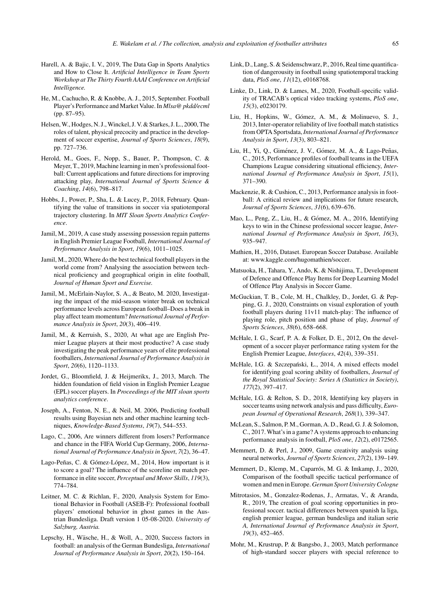- Harell, A. & Bajic, I. V., 2019, The Data Gap in Sports Analytics and How to Close It. *Artificial Intelligence in Team Sports Workshop at The Thirty Fourth AAAI Conference on Artificial Intelligence.*
- He, M., Cachucho, R. & Knobbe, A. J., 2015, September. Football Player's Performance and Market Value. In *Mlsa@ pkdd/ecml* (pp. 87–95).
- Helsen, W., Hodges, N. J., Winckel, J. V. & Starkes, J. L., 2000, The roles of talent, physical precocity and practice in the development of soccer expertise, *Journal of Sports Sciences*, *18*(9), pp. 727–736.
- Herold, M., Goes, F., Nopp, S., Bauer, P., Thompson, C. & Meyer, T., 2019, Machine learning in men's professional football: Current applications and future directions for improving attacking play, *International Journal of Sports Science & Coaching*, *14*(6), 798–817.
- Hobbs, J., Power, P., Sha, L. & Lucey, P., 2018, February. Quantifying the value of transitions in soccer via spatiotemporal trajectory clustering. In *MIT Sloan Sports Analytics Conference*.
- Jamil, M., 2019, A case study assessing possession regain patterns in English Premier League Football, *International Journal of Performance Analysis in Sport*, *19*(6), 1011–1025.
- Jamil, M., 2020, Where do the best technical football players in the world come from? Analysing the association between technical proficiency and geographical origin in elite football, *Journal of Human Sport and Exercise.*
- Jamil, M., McErlain-Naylor, S. A., & Beato, M. 2020, Investigating the impact of the mid-season winter break on technical performance levels across European football–Does a break in play affect team momentum? *International Journal of Performance Analysis in Sport*, *20*(3), 406–419.
- Jamil, M., & Kerruish, S., 2020, At what age are English Premier League players at their most productive? A case study investigating the peak performance years of elite professional footballers, *International Journal of Performance Analysis in Sport*, *20*(6), 1120–1133.
- Jordet, G., Bloomfield, J. & Heijmerikx, J., 2013, March. The hidden foundation of field vision in English Premier League (EPL) soccer players. In *Proceedings of the MIT sloan sports analytics conference*.
- Joseph, A., Fenton, N. E., & Neil, M. 2006, Predicting football results using Bayesian nets and other machine learning techniques, *Knowledge-Based Systems*, *19*(7), 544–553.
- Lago, C., 2006, Are winners different from losers? Performance and chance in the FIFA World Cup Germany, 2006, *International Journal of Performance Analysis in Sport*, *7*(2), 36–47.
- Lago-Peñas, C. & Gómez-López, M., 2014, How important is it to score a goal? The influence of the scoreline on match performance in elite soccer, *Perceptual and Motor Skills*, *119*(3), 774–784.
- Leitner, M. C. & Richlan, F., 2020, Analysis System for Emotional Behavior in Football (ASEB-F): Professional football players' emotional behavior in ghost games in the Austrian Bundesliga. Draft version 1 05-08-2020. *University of Salzburg, Austria.*
- Lepschy, H., Wäsche, H., & Woll, A., 2020, Success factors in football: an analysis of the German Bundesliga, *International Journal of Performance Analysis in Sport*, *20*(2), 150–164.
- Link, D., Lang, S. & Seidenschwarz, P., 2016, Real time quantification of dangerousity in football using spatiotemporal tracking data, *PloS one*, *11*(12), e0168768.
- Linke, D., Link, D. & Lames, M., 2020, Football-specific validity of TRACAB's optical video tracking systems, *PloS one*, *15*(3), e0230179.
- Liu, H., Hopkins, W., Gómez, A. M., & Molinuevo, S. J., 2013, Inter-operator reliability of live football match statistics from OPTA Sportsdata,*International Journal of Performance Analysis in Sport*, *13*(3), 803–821.
- Liu, H., Yi, Q., Giménez, J. V., Gómez, M. A., & Lago-Peñas, C., 2015, Performance profiles of football teams in the UEFA Champions League considering situational efficiency, *International Journal of Performance Analysis in Sport*, *15*(1), 371–390.
- Mackenzie, R. & Cushion, C., 2013, Performance analysis in football: A critical review and implications for future research, *Journal of Sports Sciences*, *31*(6), 639–676.
- Mao, L., Peng, Z., Liu, H., & Gómez, M. A., 2016, Identifying keys to win in the Chinese professional soccer league, *International Journal of Performance Analysis in Sport*, *16*(3), 935–947.
- Mathien, H., 2016, Dataset. European Soccer Database. Available at: [www.kaggle.com/hugomathien/soccer.](www.kaggle.com/hugomathien/soccer)
- Matsuoka, H., Tahara, Y., Ando, K. & Nishijima, T., Development of Defence and Offence Play Items for Deep Learning Model of Offence Play Analysis in Soccer Game.
- McGuckian, T. B., Cole, M. H., Chalkley, D., Jordet, G. & Pepping, G. J., 2020, Constraints on visual exploration of youth football players during 11v11 match-play: The influence of playing role, pitch position and phase of play, *Journal of Sports Sciences*, *38*(6), 658–668.
- McHale, I. G., Scarf, P. A. & Folker, D. E., 2012, On the development of a soccer player performance rating system for the English Premier League, *Interfaces*, *42*(4), 339–351.
- McHale, I.G. & Szczepański, Ł., 2014, A mixed effects model for identifying goal scoring ability of footballers, *Journal of the Royal Statistical Society: Series A (Statistics in Society)*, *177*(2), 397–417.
- McHale, I.G. & Relton, S. D., 2018, Identifying key players in soccer teams using network analysis and pass difficulty, *European Journal of Operational Research*, *268*(1), 339–347.
- McLean, S., Salmon, P. M., Gorman, A. D., Read, G. J. & Solomon, C., 2017. What's in a game? A systems approach to enhancing performance analysis in football, *PloS one*, *12*(2), e0172565.
- Memmert, D. & Perl, J., 2009, Game creativity analysis using neural networks, *Journal of Sports Sciences*, *27*(2), 139–149.
- Memmert, D., Klemp, M., Caparrós, M. G. & Imkamp, J., 2020, Comparison of the football specific tactical performance of women and men in Europe. *German Sport University Cologne*
- Mitrotasios, M., Gonzalez-Rodenas, J., Armatas, V., & Aranda, R., 2019, The creation of goal scoring opportunities in professional soccer. tactical differences between spanish la liga, english premier league, german bundesliga and italian serie *A, International Journal of Performance Analysis in Sport*, *19*(3), 452–465.
- Mohr, M., Krustrup, P. & Bangsbo, J., 2003, Match performance of high-standard soccer players with special reference to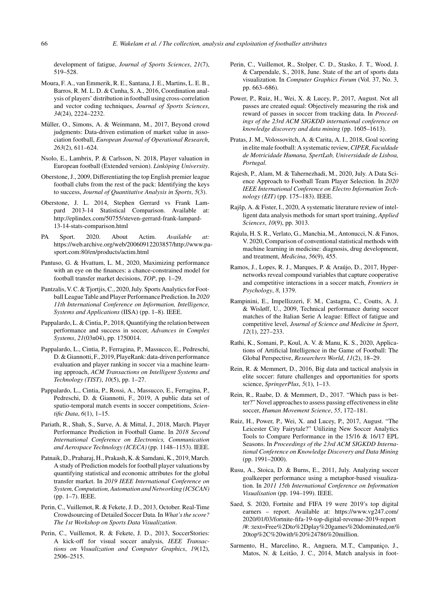development of fatigue, *Journal of Sports Sciences*, *21*(7), 519–528.

- Moura, F. A., van Emmerik, R. E., Santana, J. E., Martins, L. E. B., Barros, R. M. L. D. & Cunha, S. A., 2016, Coordination analysis of players' distribution in football using cross-correlation and vector coding techniques, *Journal of Sports Sciences*, *34*(24), 2224–2232.
- Müller, O., Simons, A. & Weinmann, M., 2017, Beyond crowd judgments: Data-driven estimation of market value in association football, *European Journal of Operational Research*, *263*(2), 611–624.
- Nsolo, E., Lambrix, P. & Carlsson, N. 2018, Player valuation in European football (Extended version). *Linköping University*.
- Oberstone, J., 2009, Differentiating the top English premier league football clubs from the rest of the pack: Identifying the keys to success, *Journal of Quantitative Analysis in Sports*, *5*(3).
- Oberstone, J. L. 2014, Stephen Gerrard vs Frank Lampard 2013-14 Statistical Comparison. Available at: [http://eplindex.com/50755/steven-gerrard-frank-lampard-](http://eplindex.com/50755/steven-gerrard-frank-lampard-13-14-stats-comparison.html)13-14-stats-comparison.html
- PA Sport. 2020. About Actim. *Available at:* [https://web.archive.org/web/20060912203857/http://www.pa](https://web.archive.org/web/20060912203857/http://www.pa-sport.com:80/en/products/actim.html)sport.com:80/en/products/actim.html
- Pantuso, G. & Hvattum, L. M., 2020, Maximizing performance with an eye on the finances: a chance-constrained model for football transfer market decisions, *TOP*, pp. 1–29.
- Pantzalis, V. C. & Tjortjis, C., 2020, July. Sports Analytics for Football League Table and Player Performance Prediction. In *2020 11th International Conference on Information, Intelligence, Systems and Applications* (IISA) (pp. 1–8). IEEE.
- Pappalardo, L. & Cintia, P., 2018, Quantifying the relation between performance and success in soccer, *Advances in Complex Systems*, *21*(03n04), pp. 1750014.
- Pappalardo, L., Cintia, P., Ferragina, P., Massucco, E., Pedreschi, D. & Giannotti, F., 2019, PlayeRank: data-driven performance evaluation and player ranking in soccer via a machine learning approach, *ACM Transactions on Intelligent Systems and Technology (TIST)*, *10*(5), pp. 1–27.
- Pappalardo, L., Cintia, P., Rossi, A., Massucco, E., Ferragina, P., Pedreschi, D. & Giannotti, F., 2019, A public data set of spatio-temporal match events in soccer competitions, *Scientific Data*, *6*(1), 1–15.
- Pariath, R., Shah, S., Surve, A. & Mittal, J., 2018, March. Player Performance Prediction in Football Game. In *2018 Second International Conference on Electronics, Communication and Aerospace Technology (ICECA)* (pp. 1148–1153). IEEE.
- Patnaik, D., Praharaj, H., Prakash, K. & Samdani, K., 2019, March. A study of Prediction models for football player valuations by quantifying statistical and economic attributes for the global transfer market. In *2019 IEEE International Conference on System, Computation, Automation and Networking (ICSCAN)* (pp. 1–7). IEEE.
- Perin, C., Vuillemot, R. & Fekete, J. D., 2013, October. Real-Time Crowdsourcing of Detailed Soccer Data. In *What's the score? The 1st Workshop on Sports Data Visualization*.
- Perin, C., Vuillemot, R. & Fekete, J. D., 2013, SoccerStories: A kick-off for visual soccer analysis, *IEEE Transactions on Visualization and Computer Graphics*, *19*(12), 2506–2515.
- Perin, C., Vuillemot, R., Stolper, C. D., Stasko, J. T., Wood, J. & Carpendale, S., 2018, June. State of the art of sports data visualization. In *Computer Graphics Forum* (Vol. 37, No. 3, pp. 663–686).
- Power, P., Ruiz, H., Wei, X. & Lucey, P., 2017, August. Not all passes are created equal: Objectively measuring the risk and reward of passes in soccer from tracking data. In *Proceedings of the 23rd ACM SIGKDD international conference on knowledge discovery and data mining* (pp. 1605–1613).
- Pratas, J. M., Volossovitch, A. & Carita, A. I., 2018, Goal scoring in elite male football: A systematic review,*CIPER, Faculdade de Motricidade Humana, SpertLab, Universidade de Lisboa, Portugal.*
- Rajesh, P., Alam, M. & Tahernezhadi, M., 2020, July. A Data Science Approach to Football Team Player Selection. In *2020 IEEE International Conference on Electro Information Technology (EIT)* (pp. 175–183). IEEE.
- Rajšp, A. & Fister, I., 2020, A systematic literature review of intelligent data analysis methods for smart sport training, *Applied Sciences*, *10*(9), pp. 3013.
- Rajula, H. S. R., Verlato, G., Manchia, M., Antonucci, N. & Fanos, V. 2020, Comparison of conventional statistical methods with machine learning in medicine: diagnosis, drug development, and treatment, *Medicina*, *56*(9), 455.
- Ramos, J., Lopes, R. J., Marques, P. & Araújo, D., 2017, Hypernetworks reveal compound variables that capture cooperative and competitive interactions in a soccer match, *Frontiers in Psychology*, *8*, 1379.
- Rampinini, E., Impellizzeri, F. M., Castagna, C., Coutts, A. J. & Wisløff, U., 2009, Technical performance during soccer matches of the Italian Serie A league: Effect of fatigue and competitive level, *Journal of Science and Medicine in Sport*, *12*(1), 227–233.
- Rathi, K., Somani, P., Koul, A. V. & Manu, K. S., 2020, Applications of Artificial Intelligence in the Game of Football: The Global Perspective, *Researchers World*, *11*(2), 18–29.
- Rein, R. & Memmert, D., 2016, Big data and tactical analysis in elite soccer: future challenges and opportunities for sports science, *SpringerPlus*, *5*(1), 1–13.
- Rein, R., Raabe, D. & Memmert, D., 2017. "Which pass is better?" Novel approaches to assess passing effectiveness in elite soccer, *Human Movement Science*, *55*, 172–181.
- Ruiz, H., Power, P., Wei, X. and Lucey, P., 2017, August. "The Leicester City Fairytale?" Utilizing New Soccer Analytics Tools to Compare Performance in the 15/16 & 16/17 EPL Seasons. In *Proceedings of the 23rd ACM SIGKDD International Conference on Knowledge Discovery and Data Mining* (pp. 1991–2000).
- Rusu, A., Stoica, D. & Burns, E., 2011, July. Analyzing soccer goalkeeper performance using a metaphor-based visualization. In *2011 15th International Conference on Information Visualisation* (pp. 194–199). IEEE.
- Saed, S. 2020, Fortnite and FIFA 19 were 2019's top digital earners – report. Available at: [https://www.vg247.com/](https://www.vg247.com/2020/01/03/fortnite-fifa-19-top-digital-revenue-2019-report/#:~:text=Free%2Dto%2Dplay%20games%20dominated,on%20top%2C%20with%20%24786%20million) 2020/01/03/fortnite-fifa-19-top-digital-revenue-2019-report /#: :text=Free%2Dto%2Dplay%20games%20dominated,on% 20top%2C%20with%20%24786%20million.
- Sarmento, H., Marcelino, R., Anguera, M.T., Campaniço, J., Matos, N. & Leitão, J. C., 2014, Match analysis in foot-